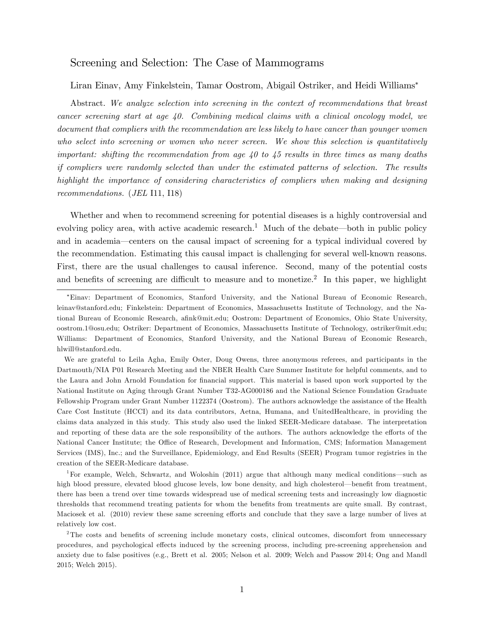# Screening and Selection: The Case of Mammograms

Liran Einav, Amy Finkelstein, Tamar Oostrom, Abigail Ostriker, and Heidi Williams

Abstract. We analyze selection into screening in the context of recommendations that breast cancer screening start at age 40. Combining medical claims with a clinical oncology model, we document that compliers with the recommendation are less likely to have cancer than younger women who select into screening or women who never screen. We show this selection is quantitatively important: shifting the recommendation from age  $40$  to  $45$  results in three times as many deaths if compliers were randomly selected than under the estimated patterns of selection. The results highlight the importance of considering characteristics of compliers when making and designing recommendations. (JEL I11, I18)

Whether and when to recommend screening for potential diseases is a highly controversial and evolving policy area, with active academic research.<sup>1</sup> Much of the debate—both in public policy and in academia—centers on the causal impact of screening for a typical individual covered by the recommendation. Estimating this causal impact is challenging for several well-known reasons. First, there are the usual challenges to causal inference. Second, many of the potential costs and benefits of screening are difficult to measure and to monetize.<sup>2</sup> In this paper, we highlight

We are grateful to Leila Agha, Emily Oster, Doug Owens, three anonymous referees, and participants in the Dartmouth/NIA P01 Research Meeting and the NBER Health Care Summer Institute for helpful comments, and to the Laura and John Arnold Foundation for financial support. This material is based upon work supported by the National Institute on Aging through Grant Number T32-AG000186 and the National Science Foundation Graduate Fellowship Program under Grant Number 1122374 (Oostrom). The authors acknowledge the assistance of the Health Care Cost Institute (HCCI) and its data contributors, Aetna, Humana, and UnitedHealthcare, in providing the claims data analyzed in this study. This study also used the linked SEER-Medicare database. The interpretation and reporting of these data are the sole responsibility of the authors. The authors acknowledge the efforts of the National Cancer Institute; the Office of Research, Development and Information, CMS; Information Management Services (IMS), Inc.; and the Surveillance, Epidemiology, and End Results (SEER) Program tumor registries in the creation of the SEER-Medicare database.

<sup>1</sup>For example, Welch, Schwartz, and Woloshin (2011) argue that although many medical conditions—such as high blood pressure, elevated blood glucose levels, low bone density, and high cholesterol—benefit from treatment, there has been a trend over time towards widespread use of medical screening tests and increasingly low diagnostic thresholds that recommend treating patients for whom the benefits from treatments are quite small. By contrast, Maciosek et al. (2010) review these same screening efforts and conclude that they save a large number of lives at relatively low cost.

<sup>2</sup>The costs and benefits of screening include monetary costs, clinical outcomes, discomfort from unnecessary procedures, and psychological effects induced by the screening process, including pre-screening apprehension and anxiety due to false positives (e.g., Brett et al. 2005; Nelson et al. 2009; Welch and Passow 2014; Ong and Mandl 2015; Welch 2015).

Einav: Department of Economics, Stanford University, and the National Bureau of Economic Research, leinav@stanford.edu; Finkelstein: Department of Economics, Massachusetts Institute of Technology, and the National Bureau of Economic Research, afink@mit.edu; Oostrom: Department of Economics, Ohio State University, oostrom.1@osu.edu; Ostriker: Department of Economics, Massachusetts Institute of Technology, ostriker@mit.edu; Williams: Department of Economics, Stanford University, and the National Bureau of Economic Research, hlwill@stanford.edu.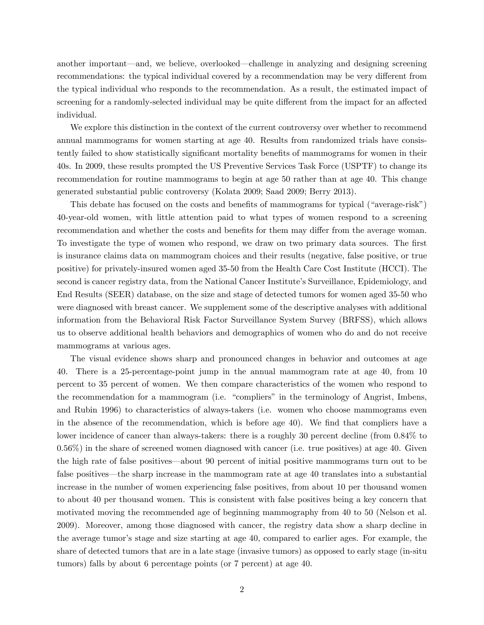another important—and, we believe, overlooked—challenge in analyzing and designing screening recommendations: the typical individual covered by a recommendation may be very different from the typical individual who responds to the recommendation. As a result, the estimated impact of screening for a randomly-selected individual may be quite different from the impact for an affected individual.

We explore this distinction in the context of the current controversy over whether to recommend annual mammograms for women starting at age 40. Results from randomized trials have consistently failed to show statistically significant mortality benefits of mammograms for women in their 40s. In 2009, these results prompted the US Preventive Services Task Force (USPTF) to change its recommendation for routine mammograms to begin at age 50 rather than at age 40. This change generated substantial public controversy (Kolata 2009; Saad 2009; Berry 2013).

This debate has focused on the costs and benefits of mammograms for typical ("average-risk") 40-year-old women, with little attention paid to what types of women respond to a screening recommendation and whether the costs and benefits for them may differ from the average woman. To investigate the type of women who respond, we draw on two primary data sources. The first is insurance claims data on mammogram choices and their results (negative, false positive, or true positive) for privately-insured women aged 35-50 from the Health Care Cost Institute (HCCI). The second is cancer registry data, from the National Cancer Institute's Surveillance, Epidemiology, and End Results (SEER) database, on the size and stage of detected tumors for women aged 35-50 who were diagnosed with breast cancer. We supplement some of the descriptive analyses with additional information from the Behavioral Risk Factor Surveillance System Survey (BRFSS), which allows us to observe additional health behaviors and demographics of women who do and do not receive mammograms at various ages.

The visual evidence shows sharp and pronounced changes in behavior and outcomes at age 40. There is a 25-percentage-point jump in the annual mammogram rate at age 40, from 10 percent to 35 percent of women. We then compare characteristics of the women who respond to the recommendation for a mammogram (i.e. "compliers" in the terminology of Angrist, Imbens, and Rubin 1996) to characteristics of always-takers (i.e. women who choose mammograms even in the absence of the recommendation, which is before age 40). We find that compliers have a lower incidence of cancer than always-takers: there is a roughly 30 percent decline (from  $0.84\%$  to 0.56%) in the share of screened women diagnosed with cancer (i.e. true positives) at age 40. Given the high rate of false positives—about 90 percent of initial positive mammograms turn out to be false positives—the sharp increase in the mammogram rate at age 40 translates into a substantial increase in the number of women experiencing false positives, from about 10 per thousand women to about 40 per thousand women. This is consistent with false positives being a key concern that motivated moving the recommended age of beginning mammography from 40 to 50 (Nelson et al. 2009). Moreover, among those diagnosed with cancer, the registry data show a sharp decline in the average tumor's stage and size starting at age 40, compared to earlier ages. For example, the share of detected tumors that are in a late stage (invasive tumors) as opposed to early stage (in-situ tumors) falls by about 6 percentage points (or 7 percent) at age 40.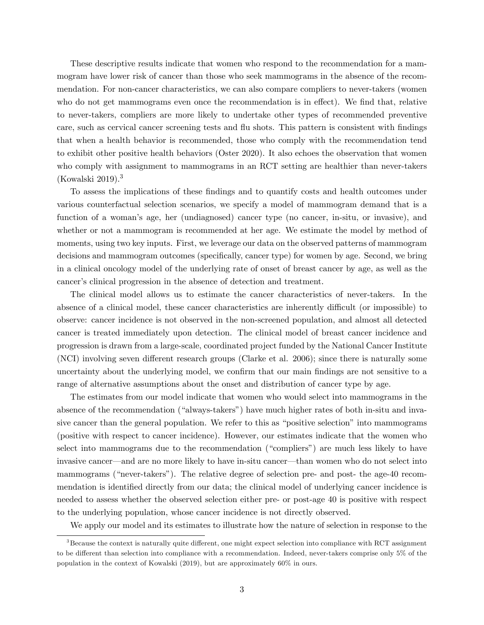These descriptive results indicate that women who respond to the recommendation for a mammogram have lower risk of cancer than those who seek mammograms in the absence of the recommendation. For non-cancer characteristics, we can also compare compliers to never-takers (women who do not get mammograms even once the recommendation is in effect). We find that, relative to never-takers, compliers are more likely to undertake other types of recommended preventive care, such as cervical cancer screening tests and flu shots. This pattern is consistent with findings that when a health behavior is recommended, those who comply with the recommendation tend to exhibit other positive health behaviors (Oster 2020). It also echoes the observation that women who comply with assignment to mammograms in an RCT setting are healthier than never-takers (Kowalski 2019).<sup>3</sup>

To assess the implications of these Öndings and to quantify costs and health outcomes under various counterfactual selection scenarios, we specify a model of mammogram demand that is a function of a woman's age, her (undiagnosed) cancer type (no cancer, in-situ, or invasive), and whether or not a mammogram is recommended at her age. We estimate the model by method of moments, using two key inputs. First, we leverage our data on the observed patterns of mammogram decisions and mammogram outcomes (specifically, cancer type) for women by age. Second, we bring in a clinical oncology model of the underlying rate of onset of breast cancer by age, as well as the cancer's clinical progression in the absence of detection and treatment.

The clinical model allows us to estimate the cancer characteristics of never-takers. In the absence of a clinical model, these cancer characteristics are inherently difficult (or impossible) to observe: cancer incidence is not observed in the non-screened population, and almost all detected cancer is treated immediately upon detection. The clinical model of breast cancer incidence and progression is drawn from a large-scale, coordinated project funded by the National Cancer Institute (NCI) involving seven different research groups (Clarke et al.  $2006$ ); since there is naturally some uncertainty about the underlying model, we confirm that our main findings are not sensitive to a range of alternative assumptions about the onset and distribution of cancer type by age.

The estimates from our model indicate that women who would select into mammograms in the absence of the recommendation ("always-takers") have much higher rates of both in-situ and invasive cancer than the general population. We refer to this as "positive selection" into mammograms (positive with respect to cancer incidence). However, our estimates indicate that the women who select into mammograms due to the recommendation ( $\degree$ compliers $\degree$ ) are much less likely to have invasive cancer—and are no more likely to have in-situ cancer—than women who do not select into mammograms ("never-takers"). The relative degree of selection pre- and post- the age-40 recommendation is identified directly from our data; the clinical model of underlying cancer incidence is needed to assess whether the observed selection either pre- or post-age 40 is positive with respect to the underlying population, whose cancer incidence is not directly observed.

We apply our model and its estimates to illustrate how the nature of selection in response to the

<sup>&</sup>lt;sup>3</sup>Because the context is naturally quite different, one might expect selection into compliance with RCT assignment to be different than selection into compliance with a recommendation. Indeed, never-takers comprise only 5% of the population in the context of Kowalski (2019), but are approximately 60% in ours.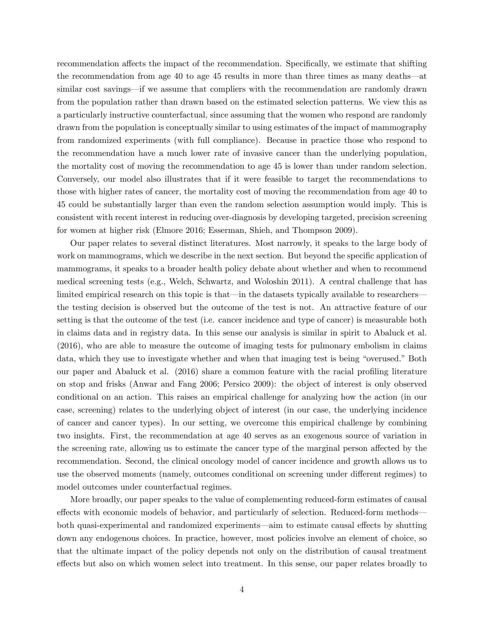recommendation affects the impact of the recommendation. Specifically, we estimate that shifting the recommendation from age  $40$  to age  $45$  results in more than three times as many deaths—at similar cost savings—if we assume that compliers with the recommendation are randomly drawn from the population rather than drawn based on the estimated selection patterns. We view this as a particularly instructive counterfactual, since assuming that the women who respond are randomly drawn from the population is conceptually similar to using estimates of the impact of mammography from randomized experiments (with full compliance). Because in practice those who respond to the recommendation have a much lower rate of invasive cancer than the underlying population, the mortality cost of moving the recommendation to age 45 is lower than under random selection. Conversely, our model also illustrates that if it were feasible to target the recommendations to those with higher rates of cancer, the mortality cost of moving the recommendation from age 40 to 45 could be substantially larger than even the random selection assumption would imply. This is consistent with recent interest in reducing over-diagnosis by developing targeted, precision screening for women at higher risk (Elmore 2016; Esserman, Shieh, and Thompson 2009).

Our paper relates to several distinct literatures. Most narrowly, it speaks to the large body of work on mammograms, which we describe in the next section. But beyond the specific application of mammograms, it speaks to a broader health policy debate about whether and when to recommend medical screening tests (e.g., Welch, Schwartz, and Woloshin 2011). A central challenge that has limited empirical research on this topic is that—in the datasets typically available to researchers the testing decision is observed but the outcome of the test is not. An attractive feature of our setting is that the outcome of the test (i.e. cancer incidence and type of cancer) is measurable both in claims data and in registry data. In this sense our analysis is similar in spirit to Abaluck et al. (2016), who are able to measure the outcome of imaging tests for pulmonary embolism in claims data, which they use to investigate whether and when that imaging test is being "overused." Both our paper and Abaluck et al.  $(2016)$  share a common feature with the racial profiling literature on stop and frisks (Anwar and Fang 2006; Persico 2009): the object of interest is only observed conditional on an action. This raises an empirical challenge for analyzing how the action (in our case, screening) relates to the underlying object of interest (in our case, the underlying incidence of cancer and cancer types). In our setting, we overcome this empirical challenge by combining two insights. First, the recommendation at age 40 serves as an exogenous source of variation in the screening rate, allowing us to estimate the cancer type of the marginal person affected by the recommendation. Second, the clinical oncology model of cancer incidence and growth allows us to use the observed moments (namely, outcomes conditional on screening under different regimes) to model outcomes under counterfactual regimes.

More broadly, our paper speaks to the value of complementing reduced-form estimates of causal effects with economic models of behavior, and particularly of selection. Reduced-form methods both quasi-experimental and randomized experiments—aim to estimate causal effects by shutting down any endogenous choices. In practice, however, most policies involve an element of choice, so that the ultimate impact of the policy depends not only on the distribution of causal treatment effects but also on which women select into treatment. In this sense, our paper relates broadly to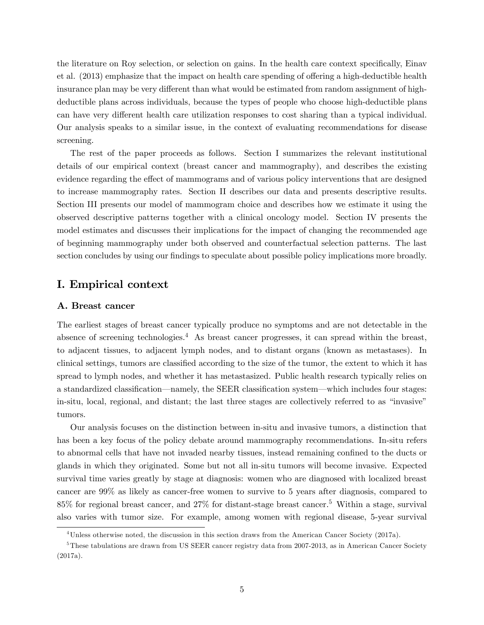the literature on Roy selection, or selection on gains. In the health care context specifically, Einav et al.  $(2013)$  emphasize that the impact on health care spending of offering a high-deductible health insurance plan may be very different than what would be estimated from random assignment of highdeductible plans across individuals, because the types of people who choose high-deductible plans can have very different health care utilization responses to cost sharing than a typical individual. Our analysis speaks to a similar issue, in the context of evaluating recommendations for disease screening.

The rest of the paper proceeds as follows. Section I summarizes the relevant institutional details of our empirical context (breast cancer and mammography), and describes the existing evidence regarding the effect of mammograms and of various policy interventions that are designed to increase mammography rates. Section II describes our data and presents descriptive results. Section III presents our model of mammogram choice and describes how we estimate it using the observed descriptive patterns together with a clinical oncology model. Section IV presents the model estimates and discusses their implications for the impact of changing the recommended age of beginning mammography under both observed and counterfactual selection patterns. The last section concludes by using our findings to speculate about possible policy implications more broadly.

# I. Empirical context

#### A. Breast cancer

The earliest stages of breast cancer typically produce no symptoms and are not detectable in the absence of screening technologies.<sup>4</sup> As breast cancer progresses, it can spread within the breast, to adjacent tissues, to adjacent lymph nodes, and to distant organs (known as metastases). In clinical settings, tumors are classified according to the size of the tumor, the extent to which it has spread to lymph nodes, and whether it has metastasized. Public health research typically relies on a standardized classification—namely, the SEER classification system—which includes four stages: in-situ, local, regional, and distant; the last three stages are collectively referred to as "invasive" tumors.

Our analysis focuses on the distinction between in-situ and invasive tumors, a distinction that has been a key focus of the policy debate around mammography recommendations. In-situ refers to abnormal cells that have not invaded nearby tissues, instead remaining confined to the ducts or glands in which they originated. Some but not all in-situ tumors will become invasive. Expected survival time varies greatly by stage at diagnosis: women who are diagnosed with localized breast cancer are 99% as likely as cancer-free women to survive to 5 years after diagnosis, compared to 85% for regional breast cancer, and 27% for distant-stage breast cancer.<sup>5</sup> Within a stage, survival also varies with tumor size. For example, among women with regional disease, 5-year survival

<sup>4</sup>Unless otherwise noted, the discussion in this section draws from the American Cancer Society (2017a).

<sup>&</sup>lt;sup>5</sup>These tabulations are drawn from US SEER cancer registry data from 2007-2013, as in American Cancer Society (2017a).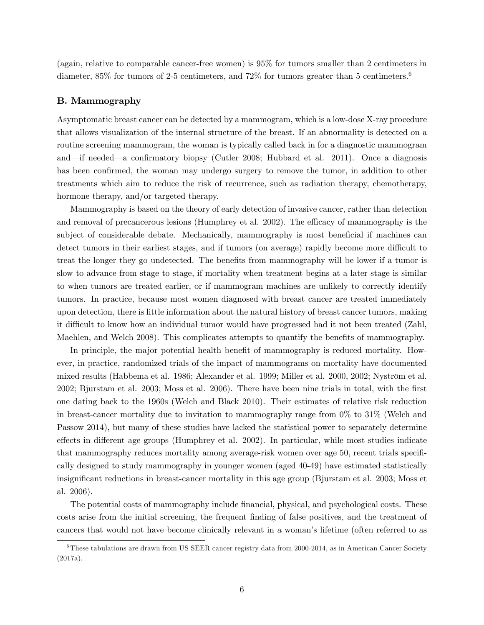(again, relative to comparable cancer-free women) is 95% for tumors smaller than 2 centimeters in diameter,  $85\%$  for tumors of 2-5 centimeters, and  $72\%$  for tumors greater than 5 centimeters.<sup>6</sup>

### B. Mammography

Asymptomatic breast cancer can be detected by a mammogram, which is a low-dose X-ray procedure that allows visualization of the internal structure of the breast. If an abnormality is detected on a routine screening mammogram, the woman is typically called back in for a diagnostic mammogram and—if needed—a confirmatory biopsy (Cutler 2008; Hubbard et al. 2011). Once a diagnosis has been confirmed, the woman may undergo surgery to remove the tumor, in addition to other treatments which aim to reduce the risk of recurrence, such as radiation therapy, chemotherapy, hormone therapy, and/or targeted therapy.

Mammography is based on the theory of early detection of invasive cancer, rather than detection and removal of precancerous lesions (Humphrey et al.  $2002$ ). The efficacy of mammography is the subject of considerable debate. Mechanically, mammography is most beneficial if machines can detect tumors in their earliest stages, and if tumors (on average) rapidly become more difficult to treat the longer they go undetected. The benefits from mammography will be lower if a tumor is slow to advance from stage to stage, if mortality when treatment begins at a later stage is similar to when tumors are treated earlier, or if mammogram machines are unlikely to correctly identify tumors. In practice, because most women diagnosed with breast cancer are treated immediately upon detection, there is little information about the natural history of breast cancer tumors, making it difficult to know how an individual tumor would have progressed had it not been treated (Zahl, Maehlen, and Welch 2008). This complicates attempts to quantify the benefits of mammography.

In principle, the major potential health benefit of mammography is reduced mortality. However, in practice, randomized trials of the impact of mammograms on mortality have documented mixed results (Habbema et al. 1986; Alexander et al. 1999; Miller et al. 2000, 2002; Nyström et al. 2002; Bjurstam et al. 2003; Moss et al. 2006). There have been nine trials in total, with the first one dating back to the 1960s (Welch and Black 2010). Their estimates of relative risk reduction in breast-cancer mortality due to invitation to mammography range from  $0\%$  to  $31\%$  (Welch and Passow 2014), but many of these studies have lacked the statistical power to separately determine effects in different age groups (Humphrey et al. 2002). In particular, while most studies indicate that mammography reduces mortality among average-risk women over age 50, recent trials specifically designed to study mammography in younger women (aged 40-49) have estimated statistically insignificant reductions in breast-cancer mortality in this age group (Bjurstam et al. 2003; Moss et al. 2006).

The potential costs of mammography include financial, physical, and psychological costs. These costs arise from the initial screening, the frequent Önding of false positives, and the treatment of cancers that would not have become clinically relevant in a woman's lifetime (often referred to as

 $6$ These tabulations are drawn from US SEER cancer registry data from 2000-2014, as in American Cancer Society (2017a).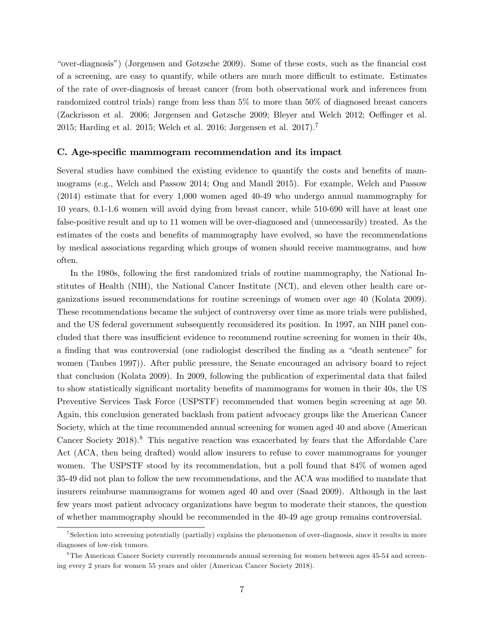"over-diagnosis") (Jørgensen and Gøtzsche 2009). Some of these costs, such as the financial cost of a screening, are easy to quantify, while others are much more difficult to estimate. Estimates of the rate of over-diagnosis of breast cancer (from both observational work and inferences from randomized control trials) range from less than 5% to more than 50% of diagnosed breast cancers (Zackrisson et al. 2006; Jørgensen and Gøtzsche 2009; Bleyer and Welch 2012; Oeffinger et al. 2015; Harding et al. 2015; Welch et al. 2016; Jørgensen et al. 2017).<sup>7</sup>

### C. Age-specific mammogram recommendation and its impact

Several studies have combined the existing evidence to quantify the costs and benefits of mammograms (e.g., Welch and Passow 2014; Ong and Mandl 2015). For example, Welch and Passow (2014) estimate that for every 1,000 women aged 40-49 who undergo annual mammography for 10 years, 0.1-1.6 women will avoid dying from breast cancer, while 510-690 will have at least one false-positive result and up to 11 women will be over-diagnosed and (unnecessarily) treated. As the estimates of the costs and benefits of mammography have evolved, so have the recommendations by medical associations regarding which groups of women should receive mammograms, and how often.

In the 1980s, following the first randomized trials of routine mammography, the National Institutes of Health (NIH), the National Cancer Institute (NCI), and eleven other health care organizations issued recommendations for routine screenings of women over age 40 (Kolata 2009). These recommendations became the subject of controversy over time as more trials were published, and the US federal government subsequently reconsidered its position. In 1997, an NIH panel concluded that there was insufficient evidence to recommend routine screening for women in their 40s, a finding that was controversial (one radiologist described the finding as a "death sentence" for women (Taubes 1997)). After public pressure, the Senate encouraged an advisory board to reject that conclusion (Kolata 2009). In 2009, following the publication of experimental data that failed to show statistically significant mortality benefits of mammograms for women in their 40s, the US Preventive Services Task Force (USPSTF) recommended that women begin screening at age 50. Again, this conclusion generated backlash from patient advocacy groups like the American Cancer Society, which at the time recommended annual screening for women aged 40 and above (American Cancer Society  $2018$ .<sup>8</sup> This negative reaction was exacerbated by fears that the Affordable Care Act (ACA, then being drafted) would allow insurers to refuse to cover mammograms for younger women. The USPSTF stood by its recommendation, but a poll found that 84% of women aged 35-49 did not plan to follow the new recommendations, and the ACA was modified to mandate that insurers reimburse mammograms for women aged 40 and over (Saad 2009). Although in the last few years most patient advocacy organizations have begun to moderate their stances, the question of whether mammography should be recommended in the 40-49 age group remains controversial.

<sup>&</sup>lt;sup>7</sup>Selection into screening potentially (partially) explains the phenomenon of over-diagnosis, since it results in more diagnoses of low-risk tumors.

<sup>&</sup>lt;sup>8</sup>The American Cancer Society currently recommends annual screening for women between ages 45-54 and screening every 2 years for women 55 years and older (American Cancer Society 2018).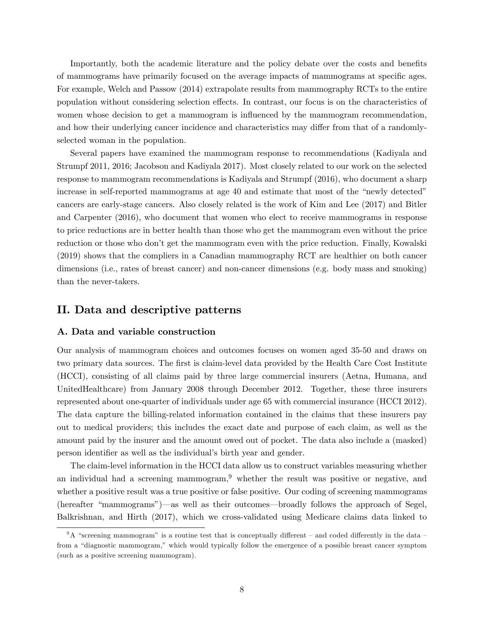Importantly, both the academic literature and the policy debate over the costs and benefits of mammograms have primarily focused on the average impacts of mammograms at specific ages. For example, Welch and Passow (2014) extrapolate results from mammography RCTs to the entire population without considering selection effects. In contrast, our focus is on the characteristics of women whose decision to get a mammogram is influenced by the mammogram recommendation, and how their underlying cancer incidence and characteristics may differ from that of a randomlyselected woman in the population.

Several papers have examined the mammogram response to recommendations (Kadiyala and Strumpf 2011, 2016; Jacobson and Kadiyala 2017). Most closely related to our work on the selected response to mammogram recommendations is Kadiyala and Strumpf (2016), who document a sharp increase in self-reported mammograms at age 40 and estimate that most of the "newly detected" cancers are early-stage cancers. Also closely related is the work of Kim and Lee (2017) and Bitler and Carpenter (2016), who document that women who elect to receive mammograms in response to price reductions are in better health than those who get the mammogram even without the price reduction or those who don't get the mammogram even with the price reduction. Finally, Kowalski (2019) shows that the compliers in a Canadian mammography RCT are healthier on both cancer dimensions (i.e., rates of breast cancer) and non-cancer dimensions (e.g. body mass and smoking) than the never-takers.

# II. Data and descriptive patterns

### A. Data and variable construction

Our analysis of mammogram choices and outcomes focuses on women aged 35-50 and draws on two primary data sources. The first is claim-level data provided by the Health Care Cost Institute (HCCI), consisting of all claims paid by three large commercial insurers (Aetna, Humana, and UnitedHealthcare) from January 2008 through December 2012. Together, these three insurers represented about one-quarter of individuals under age 65 with commercial insurance (HCCI 2012). The data capture the billing-related information contained in the claims that these insurers pay out to medical providers; this includes the exact date and purpose of each claim, as well as the amount paid by the insurer and the amount owed out of pocket. The data also include a (masked) person identifier as well as the individual's birth year and gender.

The claim-level information in the HCCI data allow us to construct variables measuring whether an individual had a screening mammogram, $9$  whether the result was positive or negative, and whether a positive result was a true positive or false positive. Our coding of screening mammograms (hereafter "mammograms")—as well as their outcomes—broadly follows the approach of Segel, Balkrishnan, and Hirth (2017), which we cross-validated using Medicare claims data linked to

 $9A$  "screening mammogram" is a routine test that is conceptually different – and coded differently in the data – from a "diagnostic mammogram," which would typically follow the emergence of a possible breast cancer symptom (such as a positive screening mammogram).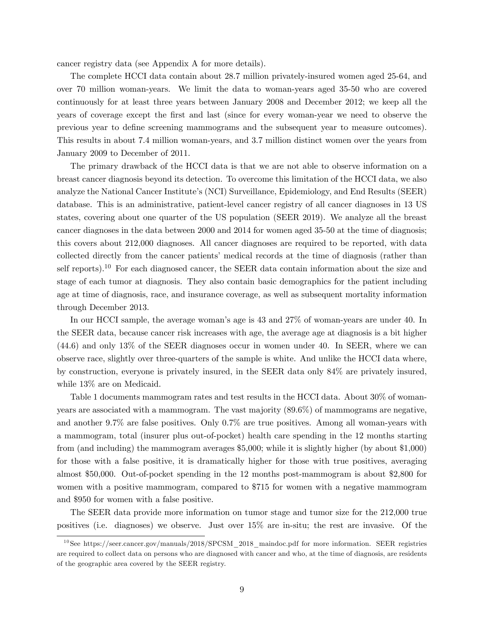cancer registry data (see Appendix A for more details).

The complete HCCI data contain about 28.7 million privately-insured women aged 25-64, and over 70 million woman-years. We limit the data to woman-years aged 35-50 who are covered continuously for at least three years between January 2008 and December 2012; we keep all the years of coverage except the first and last (since for every woman-year we need to observe the previous year to deÖne screening mammograms and the subsequent year to measure outcomes). This results in about 7.4 million woman-years, and 3.7 million distinct women over the years from January 2009 to December of 2011.

The primary drawback of the HCCI data is that we are not able to observe information on a breast cancer diagnosis beyond its detection. To overcome this limitation of the HCCI data, we also analyze the National Cancer Institute's (NCI) Surveillance, Epidemiology, and End Results (SEER) database. This is an administrative, patient-level cancer registry of all cancer diagnoses in 13 US states, covering about one quarter of the US population (SEER 2019). We analyze all the breast cancer diagnoses in the data between 2000 and 2014 for women aged 35-50 at the time of diagnosis; this covers about 212,000 diagnoses. All cancer diagnoses are required to be reported, with data collected directly from the cancer patients' medical records at the time of diagnosis (rather than self reports).<sup>10</sup> For each diagnosed cancer, the SEER data contain information about the size and stage of each tumor at diagnosis. They also contain basic demographics for the patient including age at time of diagnosis, race, and insurance coverage, as well as subsequent mortality information through December 2013.

In our HCCI sample, the average woman's age is 43 and  $27\%$  of woman-years are under 40. In the SEER data, because cancer risk increases with age, the average age at diagnosis is a bit higher (44.6) and only 13% of the SEER diagnoses occur in women under 40. In SEER, where we can observe race, slightly over three-quarters of the sample is white. And unlike the HCCI data where, by construction, everyone is privately insured, in the SEER data only 84% are privately insured, while 13% are on Medicaid.

Table 1 documents mammogram rates and test results in the HCCI data. About 30% of womanyears are associated with a mammogram. The vast majority (89.6%) of mammograms are negative, and another 9.7% are false positives. Only 0.7% are true positives. Among all woman-years with a mammogram, total (insurer plus out-of-pocket) health care spending in the 12 months starting from (and including) the mammogram averages \$5,000; while it is slightly higher (by about \$1,000) for those with a false positive, it is dramatically higher for those with true positives, averaging almost \$50,000. Out-of-pocket spending in the 12 months post-mammogram is about \$2,800 for women with a positive mammogram, compared to \$715 for women with a negative mammogram and \$950 for women with a false positive.

The SEER data provide more information on tumor stage and tumor size for the 212,000 true positives (i.e. diagnoses) we observe. Just over 15% are in-situ; the rest are invasive. Of the

<sup>10</sup>See https://seer.cancer.gov/manuals/2018/SPCSM\_2018\_maindoc.pdf for more information. SEER registries are required to collect data on persons who are diagnosed with cancer and who, at the time of diagnosis, are residents of the geographic area covered by the SEER registry.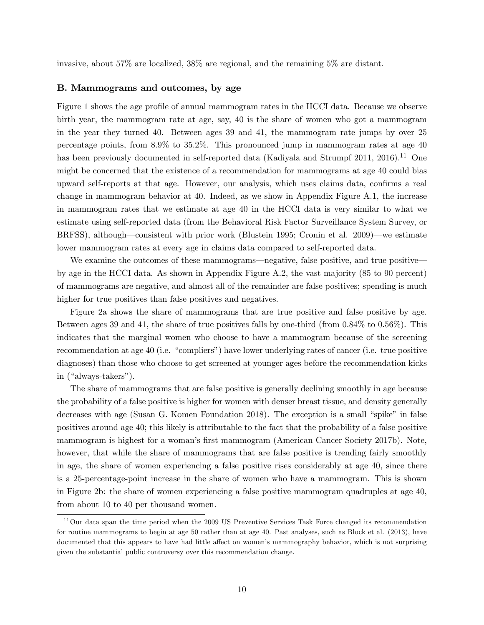invasive, about 57% are localized, 38% are regional, and the remaining 5% are distant.

### B. Mammograms and outcomes, by age

Figure 1 shows the age profile of annual mammogram rates in the HCCI data. Because we observe birth year, the mammogram rate at age, say, 40 is the share of women who got a mammogram in the year they turned 40. Between ages 39 and 41, the mammogram rate jumps by over 25 percentage points, from 8.9% to 35.2%. This pronounced jump in mammogram rates at age 40 has been previously documented in self-reported data (Kadiyala and Strumpf 2011, 2016).<sup>11</sup> One might be concerned that the existence of a recommendation for mammograms at age 40 could bias upward self-reports at that age. However, our analysis, which uses claims data, confirms a real change in mammogram behavior at 40. Indeed, as we show in Appendix Figure A.1, the increase in mammogram rates that we estimate at age 40 in the HCCI data is very similar to what we estimate using self-reported data (from the Behavioral Risk Factor Surveillance System Survey, or BRFSS), although—consistent with prior work (Blustein 1995; Cronin et al. 2009)—we estimate lower mammogram rates at every age in claims data compared to self-reported data.

We examine the outcomes of these mammograms—negative, false positive, and true positive by age in the HCCI data. As shown in Appendix Figure A.2, the vast majority (85 to 90 percent) of mammograms are negative, and almost all of the remainder are false positives; spending is much higher for true positives than false positives and negatives.

Figure 2a shows the share of mammograms that are true positive and false positive by age. Between ages 39 and 41, the share of true positives falls by one-third (from 0.84% to 0.56%). This indicates that the marginal women who choose to have a mammogram because of the screening recommendation at age 40 (i.e. "compliers") have lower underlying rates of cancer (i.e. true positive diagnoses) than those who choose to get screened at younger ages before the recommendation kicks in ("always-takers").

The share of mammograms that are false positive is generally declining smoothly in age because the probability of a false positive is higher for women with denser breast tissue, and density generally decreases with age (Susan G. Komen Foundation 2018). The exception is a small "spike" in false positives around age 40; this likely is attributable to the fact that the probability of a false positive mammogram is highest for a woman's first mammogram (American Cancer Society 2017b). Note, however, that while the share of mammograms that are false positive is trending fairly smoothly in age, the share of women experiencing a false positive rises considerably at age 40, since there is a 25-percentage-point increase in the share of women who have a mammogram. This is shown in Figure 2b: the share of women experiencing a false positive mammogram quadruples at age 40, from about 10 to 40 per thousand women.

<sup>&</sup>lt;sup>11</sup>Our data span the time period when the 2009 US Preventive Services Task Force changed its recommendation for routine mammograms to begin at age 50 rather than at age 40. Past analyses, such as Block et al. (2013), have documented that this appears to have had little affect on women's mammography behavior, which is not surprising given the substantial public controversy over this recommendation change.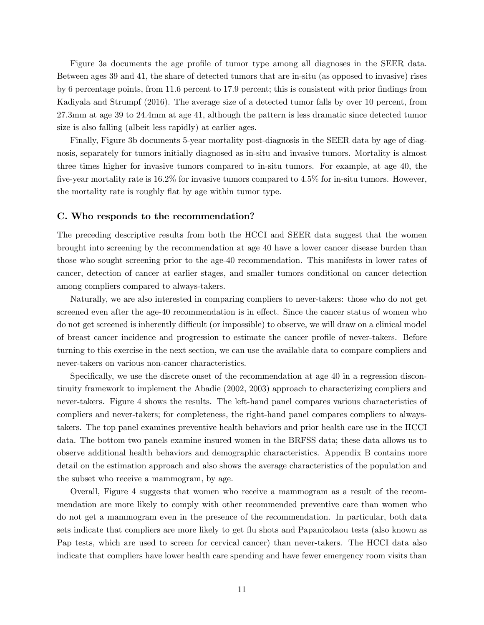Figure 3a documents the age profile of tumor type among all diagnoses in the SEER data. Between ages 39 and 41, the share of detected tumors that are in-situ (as opposed to invasive) rises by 6 percentage points, from 11.6 percent to 17.9 percent; this is consistent with prior findings from Kadiyala and Strumpf (2016). The average size of a detected tumor falls by over 10 percent, from 27.3mm at age 39 to 24.4mm at age 41, although the pattern is less dramatic since detected tumor size is also falling (albeit less rapidly) at earlier ages.

Finally, Figure 3b documents 5-year mortality post-diagnosis in the SEER data by age of diagnosis, separately for tumors initially diagnosed as in-situ and invasive tumors. Mortality is almost three times higher for invasive tumors compared to in-situ tumors. For example, at age 40, the five-year mortality rate is  $16.2\%$  for invasive tumors compared to  $4.5\%$  for in-situ tumors. However, the mortality rate is roughly flat by age within tumor type.

#### C. Who responds to the recommendation?

The preceding descriptive results from both the HCCI and SEER data suggest that the women brought into screening by the recommendation at age 40 have a lower cancer disease burden than those who sought screening prior to the age-40 recommendation. This manifests in lower rates of cancer, detection of cancer at earlier stages, and smaller tumors conditional on cancer detection among compliers compared to always-takers.

Naturally, we are also interested in comparing compliers to never-takers: those who do not get screened even after the age-40 recommendation is in effect. Since the cancer status of women who do not get screened is inherently difficult (or impossible) to observe, we will draw on a clinical model of breast cancer incidence and progression to estimate the cancer profile of never-takers. Before turning to this exercise in the next section, we can use the available data to compare compliers and never-takers on various non-cancer characteristics.

Specifically, we use the discrete onset of the recommendation at age 40 in a regression discontinuity framework to implement the Abadie (2002, 2003) approach to characterizing compliers and never-takers. Figure 4 shows the results. The left-hand panel compares various characteristics of compliers and never-takers; for completeness, the right-hand panel compares compliers to alwaystakers. The top panel examines preventive health behaviors and prior health care use in the HCCI data. The bottom two panels examine insured women in the BRFSS data; these data allows us to observe additional health behaviors and demographic characteristics. Appendix B contains more detail on the estimation approach and also shows the average characteristics of the population and the subset who receive a mammogram, by age.

Overall, Figure 4 suggests that women who receive a mammogram as a result of the recommendation are more likely to comply with other recommended preventive care than women who do not get a mammogram even in the presence of the recommendation. In particular, both data sets indicate that compliers are more likely to get áu shots and Papanicolaou tests (also known as Pap tests, which are used to screen for cervical cancer) than never-takers. The HCCI data also indicate that compliers have lower health care spending and have fewer emergency room visits than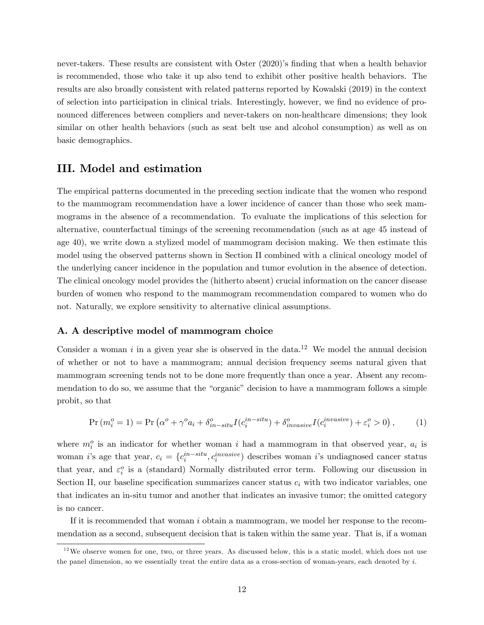never-takers. These results are consistent with Oster (2020)'s finding that when a health behavior is recommended, those who take it up also tend to exhibit other positive health behaviors. The results are also broadly consistent with related patterns reported by Kowalski (2019) in the context of selection into participation in clinical trials. Interestingly, however, we find no evidence of pronounced differences between compliers and never-takers on non-healthcare dimensions; they look similar on other health behaviors (such as seat belt use and alcohol consumption) as well as on basic demographics.

# III. Model and estimation

The empirical patterns documented in the preceding section indicate that the women who respond to the mammogram recommendation have a lower incidence of cancer than those who seek mammograms in the absence of a recommendation. To evaluate the implications of this selection for alternative, counterfactual timings of the screening recommendation (such as at age 45 instead of age 40), we write down a stylized model of mammogram decision making. We then estimate this model using the observed patterns shown in Section II combined with a clinical oncology model of the underlying cancer incidence in the population and tumor evolution in the absence of detection. The clinical oncology model provides the (hitherto absent) crucial information on the cancer disease burden of women who respond to the mammogram recommendation compared to women who do not. Naturally, we explore sensitivity to alternative clinical assumptions.

## A. A descriptive model of mammogram choice

Consider a woman i in a given year she is observed in the data.<sup>12</sup> We model the annual decision of whether or not to have a mammogram; annual decision frequency seems natural given that mammogram screening tends not to be done more frequently than once a year. Absent any recommendation to do so, we assume that the "organic" decision to have a mammogram follows a simple probit, so that

$$
\Pr\left(m_i^o = 1\right) = \Pr\left(\alpha^o + \gamma^o a_i + \delta_{in-situ}^o I(c_i^{in-situ}) + \delta_{invasive}^o I(c_i^{invasive}) + \varepsilon_i^o > 0\right),\tag{1}
$$

where  $m_i^o$  is an indicator for whether woman i had a mammogram in that observed year,  $a_i$  is woman *i*'s age that year,  $c_i = \{c_i^{in-situ}, c_i^{invasive}\}$  describes woman *i*'s undiagnosed cancer status that year, and  $\varepsilon_i^o$  is a (standard) Normally distributed error term. Following our discussion in Section II, our baseline specification summarizes cancer status  $c_i$  with two indicator variables, one that indicates an in-situ tumor and another that indicates an invasive tumor; the omitted category is no cancer.

If it is recommended that woman i obtain a mammogram, we model her response to the recommendation as a second, subsequent decision that is taken within the same year. That is, if a woman

 $12$ We observe women for one, two, or three years. As discussed below, this is a static model, which does not use the panel dimension, so we essentially treat the entire data as a cross-section of woman-years, each denoted by  $i$ .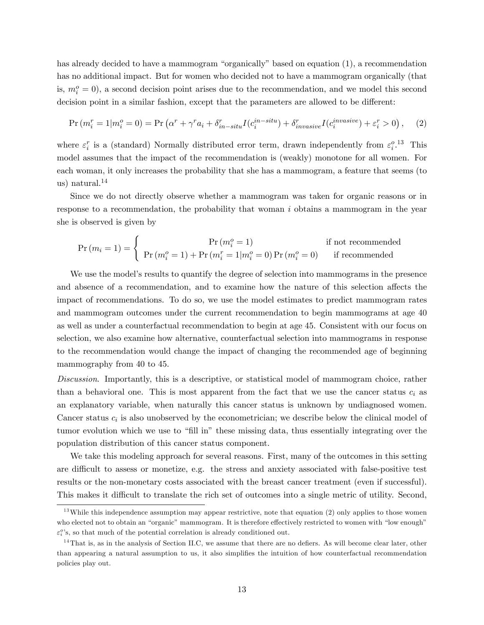has already decided to have a mammogram "organically" based on equation  $(1)$ , a recommendation has no additional impact. But for women who decided not to have a mammogram organically (that is,  $m_i^o = 0$ , a second decision point arises due to the recommendation, and we model this second decision point in a similar fashion, except that the parameters are allowed to be different:

$$
\Pr\left(m_i^r = 1 | m_i^o = 0\right) = \Pr\left(\alpha^r + \gamma^r a_i + \delta_{in-situ}^r I(c_i^{in-situ}) + \delta_{invasive}^r I(c_i^{invasive}) + \varepsilon_i^r > 0\right),\tag{2}
$$

where  $\varepsilon_i^r$  is a (standard) Normally distributed error term, drawn independently from  $\varepsilon_i^o$ .<sup>13</sup> This model assumes that the impact of the recommendation is (weakly) monotone for all women. For each woman, it only increases the probability that she has a mammogram, a feature that seems (to us) natural. $14$ 

Since we do not directly observe whether a mammogram was taken for organic reasons or in response to a recommendation, the probability that woman  $i$  obtains a mammogram in the year she is observed is given by

$$
Pr(m_i = 1) = \begin{cases} Pr(m_i^o = 1) & \text{if not recommended} \\ Pr(m_i^o = 1) + Pr(m_i^r = 1|m_i^o = 0) Pr(m_i^o = 0) & \text{if recommended} \end{cases}
$$

We use the model's results to quantify the degree of selection into mammograms in the presence and absence of a recommendation, and to examine how the nature of this selection affects the impact of recommendations. To do so, we use the model estimates to predict mammogram rates and mammogram outcomes under the current recommendation to begin mammograms at age 40 as well as under a counterfactual recommendation to begin at age 45. Consistent with our focus on selection, we also examine how alternative, counterfactual selection into mammograms in response to the recommendation would change the impact of changing the recommended age of beginning mammography from 40 to 45.

Discussion. Importantly, this is a descriptive, or statistical model of mammogram choice, rather than a behavioral one. This is most apparent from the fact that we use the cancer status  $c_i$  as an explanatory variable, when naturally this cancer status is unknown by undiagnosed women. Cancer status  $c_i$  is also unobserved by the econometrician; we describe below the clinical model of tumor evolution which we use to "fill in" these missing data, thus essentially integrating over the population distribution of this cancer status component.

We take this modeling approach for several reasons. First, many of the outcomes in this setting are difficult to assess or monetize, e.g. the stress and anxiety associated with false-positive test results or the non-monetary costs associated with the breast cancer treatment (even if successful). This makes it difficult to translate the rich set of outcomes into a single metric of utility. Second,

 $13$ While this independence assumption may appear restrictive, note that equation (2) only applies to those women who elected not to obtain an "organic" mammogram. It is therefore effectively restricted to women with "low enough"  $\varepsilon_i^o$ 's, so that much of the potential correlation is already conditioned out.

 $14$ That is, as in the analysis of Section II.C, we assume that there are no defiers. As will become clear later, other than appearing a natural assumption to us, it also simplifies the intuition of how counterfactual recommendation policies play out.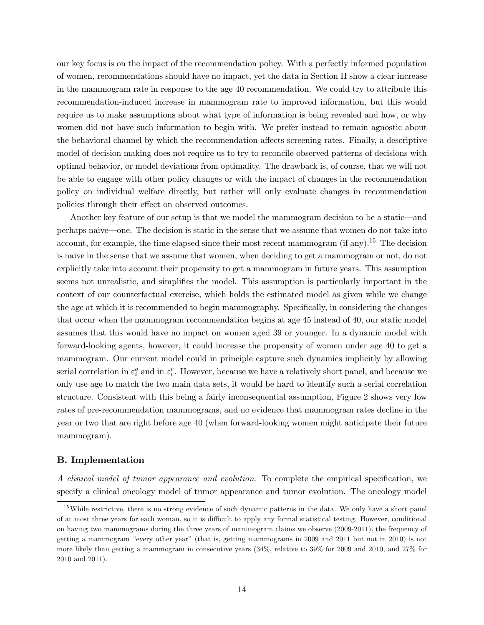our key focus is on the impact of the recommendation policy. With a perfectly informed population of women, recommendations should have no impact, yet the data in Section II show a clear increase in the mammogram rate in response to the age 40 recommendation. We could try to attribute this recommendation-induced increase in mammogram rate to improved information, but this would require us to make assumptions about what type of information is being revealed and how, or why women did not have such information to begin with. We prefer instead to remain agnostic about the behavioral channel by which the recommendation affects screening rates. Finally, a descriptive model of decision making does not require us to try to reconcile observed patterns of decisions with optimal behavior, or model deviations from optimality. The drawback is, of course, that we will not be able to engage with other policy changes or with the impact of changes in the recommendation policy on individual welfare directly, but rather will only evaluate changes in recommendation policies through their effect on observed outcomes.

Another key feature of our setup is that we model the mammogram decision to be a static—and perhaps naive—one. The decision is static in the sense that we assume that women do not take into account, for example, the time elapsed since their most recent mammogram (if any).<sup>15</sup> The decision is naive in the sense that we assume that women, when deciding to get a mammogram or not, do not explicitly take into account their propensity to get a mammogram in future years. This assumption seems not unrealistic, and simplifies the model. This assumption is particularly important in the context of our counterfactual exercise, which holds the estimated model as given while we change the age at which it is recommended to begin mammography. Specifically, in considering the changes that occur when the mammogram recommendation begins at age 45 instead of 40, our static model assumes that this would have no impact on women aged 39 or younger. In a dynamic model with forward-looking agents, however, it could increase the propensity of women under age 40 to get a mammogram. Our current model could in principle capture such dynamics implicitly by allowing serial correlation in  $\varepsilon_i^o$  and in  $\varepsilon_i^r$ . However, because we have a relatively short panel, and because we only use age to match the two main data sets, it would be hard to identify such a serial correlation structure. Consistent with this being a fairly inconsequential assumption, Figure 2 shows very low rates of pre-recommendation mammograms, and no evidence that mammogram rates decline in the year or two that are right before age 40 (when forward-looking women might anticipate their future mammogram).

## B. Implementation

A clinical model of tumor appearance and evolution. To complete the empirical specification, we specify a clinical oncology model of tumor appearance and tumor evolution. The oncology model

<sup>&</sup>lt;sup>15</sup>While restrictive, there is no strong evidence of such dynamic patterns in the data. We only have a short panel of at most three years for each woman, so it is difficult to apply any formal statistical testing. However, conditional on having two mammograms during the three years of mammogram claims we observe (2009-2011), the frequency of getting a mammogram "every other year" (that is, getting mammograms in 2009 and 2011 but not in 2010) is not more likely than getting a mammogram in consecutive years (34%, relative to 39% for 2009 and 2010, and 27% for 2010 and 2011).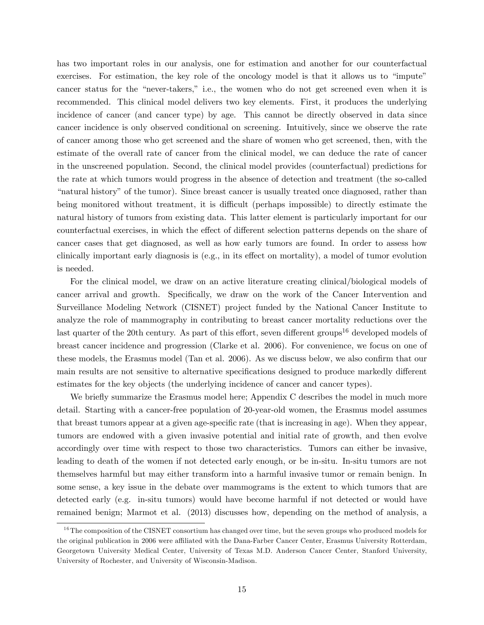has two important roles in our analysis, one for estimation and another for our counterfactual exercises. For estimation, the key role of the oncology model is that it allows us to "impute" cancer status for the "never-takers," i.e., the women who do not get screened even when it is recommended. This clinical model delivers two key elements. First, it produces the underlying incidence of cancer (and cancer type) by age. This cannot be directly observed in data since cancer incidence is only observed conditional on screening. Intuitively, since we observe the rate of cancer among those who get screened and the share of women who get screened, then, with the estimate of the overall rate of cancer from the clinical model, we can deduce the rate of cancer in the unscreened population. Second, the clinical model provides (counterfactual) predictions for the rate at which tumors would progress in the absence of detection and treatment (the so-called "natural history" of the tumor). Since breast cancer is usually treated once diagnosed, rather than being monitored without treatment, it is difficult (perhaps impossible) to directly estimate the natural history of tumors from existing data. This latter element is particularly important for our counterfactual exercises, in which the effect of different selection patterns depends on the share of cancer cases that get diagnosed, as well as how early tumors are found. In order to assess how clinically important early diagnosis is  $(e.g., in its effect on mortality)$ , a model of tumor evolution is needed.

For the clinical model, we draw on an active literature creating clinical/biological models of cancer arrival and growth. Specifically, we draw on the work of the Cancer Intervention and Surveillance Modeling Network (CISNET) project funded by the National Cancer Institute to analyze the role of mammography in contributing to breast cancer mortality reductions over the last quarter of the 20th century. As part of this effort, seven different groups<sup>16</sup> developed models of breast cancer incidence and progression (Clarke et al. 2006). For convenience, we focus on one of these models, the Erasmus model (Tan et al. 2006). As we discuss below, we also confirm that our main results are not sensitive to alternative specifications designed to produce markedly different estimates for the key objects (the underlying incidence of cancer and cancer types).

We briefly summarize the Erasmus model here; Appendix C describes the model in much more detail. Starting with a cancer-free population of 20-year-old women, the Erasmus model assumes that breast tumors appear at a given age-specific rate (that is increasing in age). When they appear, tumors are endowed with a given invasive potential and initial rate of growth, and then evolve accordingly over time with respect to those two characteristics. Tumors can either be invasive, leading to death of the women if not detected early enough, or be in-situ. In-situ tumors are not themselves harmful but may either transform into a harmful invasive tumor or remain benign. In some sense, a key issue in the debate over mammograms is the extent to which tumors that are detected early (e.g. in-situ tumors) would have become harmful if not detected or would have remained benign; Marmot et al. (2013) discusses how, depending on the method of analysis, a

<sup>&</sup>lt;sup>16</sup>The composition of the CISNET consortium has changed over time, but the seven groups who produced models for the original publication in 2006 were affiliated with the Dana-Farber Cancer Center, Erasmus University Rotterdam, Georgetown University Medical Center, University of Texas M.D. Anderson Cancer Center, Stanford University, University of Rochester, and University of Wisconsin-Madison.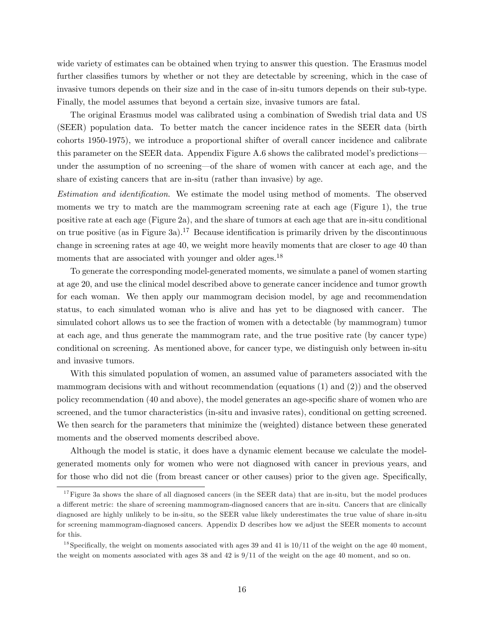wide variety of estimates can be obtained when trying to answer this question. The Erasmus model further classifies tumors by whether or not they are detectable by screening, which in the case of invasive tumors depends on their size and in the case of in-situ tumors depends on their sub-type. Finally, the model assumes that beyond a certain size, invasive tumors are fatal.

The original Erasmus model was calibrated using a combination of Swedish trial data and US (SEER) population data. To better match the cancer incidence rates in the SEER data (birth cohorts 1950-1975), we introduce a proportional shifter of overall cancer incidence and calibrate this parameter on the SEER data. Appendix Figure A.6 shows the calibrated model's predictions under the assumption of no screening—of the share of women with cancer at each age, and the share of existing cancers that are in-situ (rather than invasive) by age.

Estimation and identification. We estimate the model using method of moments. The observed moments we try to match are the mammogram screening rate at each age (Figure 1), the true positive rate at each age (Figure 2a), and the share of tumors at each age that are in-situ conditional on true positive (as in Figure 3a).<sup>17</sup> Because identification is primarily driven by the discontinuous change in screening rates at age 40, we weight more heavily moments that are closer to age 40 than moments that are associated with younger and older ages.<sup>18</sup>

To generate the corresponding model-generated moments, we simulate a panel of women starting at age 20, and use the clinical model described above to generate cancer incidence and tumor growth for each woman. We then apply our mammogram decision model, by age and recommendation status, to each simulated woman who is alive and has yet to be diagnosed with cancer. The simulated cohort allows us to see the fraction of women with a detectable (by mammogram) tumor at each age, and thus generate the mammogram rate, and the true positive rate (by cancer type) conditional on screening. As mentioned above, for cancer type, we distinguish only between in-situ and invasive tumors.

With this simulated population of women, an assumed value of parameters associated with the mammogram decisions with and without recommendation (equations (1) and (2)) and the observed policy recommendation (40 and above), the model generates an age-specific share of women who are screened, and the tumor characteristics (in-situ and invasive rates), conditional on getting screened. We then search for the parameters that minimize the (weighted) distance between these generated moments and the observed moments described above.

Although the model is static, it does have a dynamic element because we calculate the modelgenerated moments only for women who were not diagnosed with cancer in previous years, and for those who did not die (from breast cancer or other causes) prior to the given age. Specifically,

 $17$  Figure 3a shows the share of all diagnosed cancers (in the SEER data) that are in-situ, but the model produces a different metric: the share of screening mammogram-diagnosed cancers that are in-situ. Cancers that are clinically diagnosed are highly unlikely to be in-situ, so the SEER value likely underestimates the true value of share in-situ for screening mammogram-diagnosed cancers. Appendix D describes how we adjust the SEER moments to account for this.

<sup>&</sup>lt;sup>18</sup>Specifically, the weight on moments associated with ages 39 and 41 is  $10/11$  of the weight on the age 40 moment, the weight on moments associated with ages 38 and 42 is 9/11 of the weight on the age 40 moment, and so on.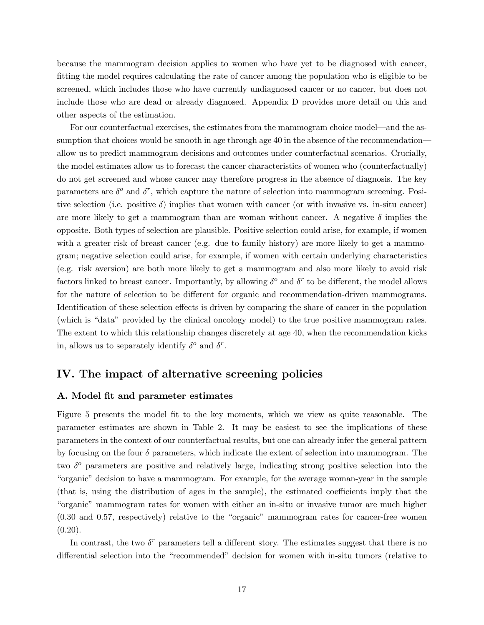because the mammogram decision applies to women who have yet to be diagnosed with cancer, fitting the model requires calculating the rate of cancer among the population who is eligible to be screened, which includes those who have currently undiagnosed cancer or no cancer, but does not include those who are dead or already diagnosed. Appendix D provides more detail on this and other aspects of the estimation.

For our counterfactual exercises, the estimates from the mammogram choice model—and the assumption that choices would be smooth in age through age 40 in the absence of the recommendationallow us to predict mammogram decisions and outcomes under counterfactual scenarios. Crucially, the model estimates allow us to forecast the cancer characteristics of women who (counterfactually) do not get screened and whose cancer may therefore progress in the absence of diagnosis. The key parameters are  $\delta^o$  and  $\delta^r$ , which capture the nature of selection into mammogram screening. Positive selection (i.e. positive  $\delta$ ) implies that women with cancer (or with invasive vs. in-situ cancer) are more likely to get a mammogram than are woman without cancer. A negative  $\delta$  implies the opposite. Both types of selection are plausible. Positive selection could arise, for example, if women with a greater risk of breast cancer (e.g. due to family history) are more likely to get a mammogram; negative selection could arise, for example, if women with certain underlying characteristics (e.g. risk aversion) are both more likely to get a mammogram and also more likely to avoid risk factors linked to breast cancer. Importantly, by allowing  $\delta^o$  and  $\delta^r$  to be different, the model allows for the nature of selection to be different for organic and recommendation-driven mammograms. Identification of these selection effects is driven by comparing the share of cancer in the population (which is "data" provided by the clinical oncology model) to the true positive mammogram rates. The extent to which this relationship changes discretely at age 40, when the recommendation kicks in, allows us to separately identify  $\delta^o$  and  $\delta^r$ .

# IV. The impact of alternative screening policies

### A. Model fit and parameter estimates

Figure 5 presents the model Öt to the key moments, which we view as quite reasonable. The parameter estimates are shown in Table 2. It may be easiest to see the implications of these parameters in the context of our counterfactual results, but one can already infer the general pattern by focusing on the four  $\delta$  parameters, which indicate the extent of selection into mammogram. The two  $\delta^o$  parameters are positive and relatively large, indicating strong positive selection into the "organic" decision to have a mammogram. For example, for the average woman-year in the sample (that is, using the distribution of ages in the sample), the estimated coefficients imply that the ìorganicî mammogram rates for women with either an in-situ or invasive tumor are much higher  $(0.30 \text{ and } 0.57, \text{ respectively})$  relative to the "organic" mammogram rates for cancer-free women  $(0.20)$ .

In contrast, the two  $\delta^r$  parameters tell a different story. The estimates suggest that there is no differential selection into the "recommended" decision for women with in-situ tumors (relative to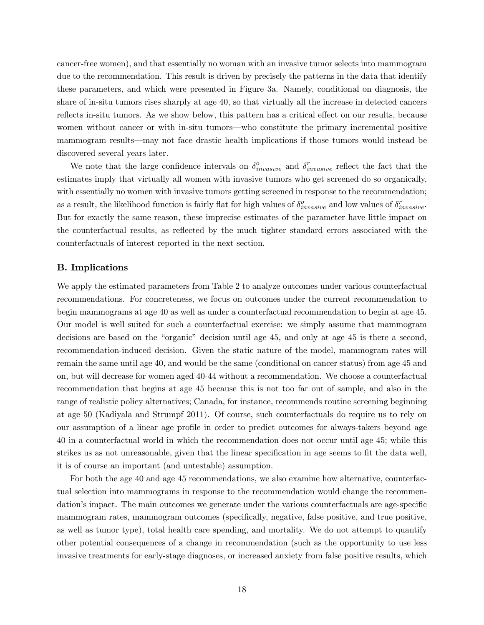cancer-free women), and that essentially no woman with an invasive tumor selects into mammogram due to the recommendation. This result is driven by precisely the patterns in the data that identify these parameters, and which were presented in Figure 3a. Namely, conditional on diagnosis, the share of in-situ tumors rises sharply at age 40, so that virtually all the increase in detected cancers reflects in-situ tumors. As we show below, this pattern has a critical effect on our results, because women without cancer or with in-situ tumors—who constitute the primary incremental positive mammogram results—may not face drastic health implications if those tumors would instead be discovered several years later.

We note that the large confidence intervals on  $\delta_{invasive}^o$  and  $\delta_{invasive}^r$  reflect the fact that the estimates imply that virtually all women with invasive tumors who get screened do so organically, with essentially no women with invasive tumors getting screened in response to the recommendation; as a result, the likelihood function is fairly flat for high values of  $\delta_{invasive}^o$  and low values of  $\delta_{invasive}^r$ . But for exactly the same reason, these imprecise estimates of the parameter have little impact on the counterfactual results, as reflected by the much tighter standard errors associated with the counterfactuals of interest reported in the next section.

### B. Implications

We apply the estimated parameters from Table 2 to analyze outcomes under various counterfactual recommendations. For concreteness, we focus on outcomes under the current recommendation to begin mammograms at age 40 as well as under a counterfactual recommendation to begin at age 45. Our model is well suited for such a counterfactual exercise: we simply assume that mammogram decisions are based on the "organic" decision until age 45, and only at age 45 is there a second, recommendation-induced decision. Given the static nature of the model, mammogram rates will remain the same until age 40, and would be the same (conditional on cancer status) from age 45 and on, but will decrease for women aged 40-44 without a recommendation. We choose a counterfactual recommendation that begins at age 45 because this is not too far out of sample, and also in the range of realistic policy alternatives; Canada, for instance, recommends routine screening beginning at age 50 (Kadiyala and Strumpf 2011). Of course, such counterfactuals do require us to rely on our assumption of a linear age profile in order to predict outcomes for always-takers beyond age 40 in a counterfactual world in which the recommendation does not occur until age 45; while this strikes us as not unreasonable, given that the linear specification in age seems to fit the data well, it is of course an important (and untestable) assumption.

For both the age 40 and age 45 recommendations, we also examine how alternative, counterfactual selection into mammograms in response to the recommendation would change the recommendation's impact. The main outcomes we generate under the various counterfactuals are age-specific mammogram rates, mammogram outcomes (specifically, negative, false positive, and true positive, as well as tumor type), total health care spending, and mortality. We do not attempt to quantify other potential consequences of a change in recommendation (such as the opportunity to use less invasive treatments for early-stage diagnoses, or increased anxiety from false positive results, which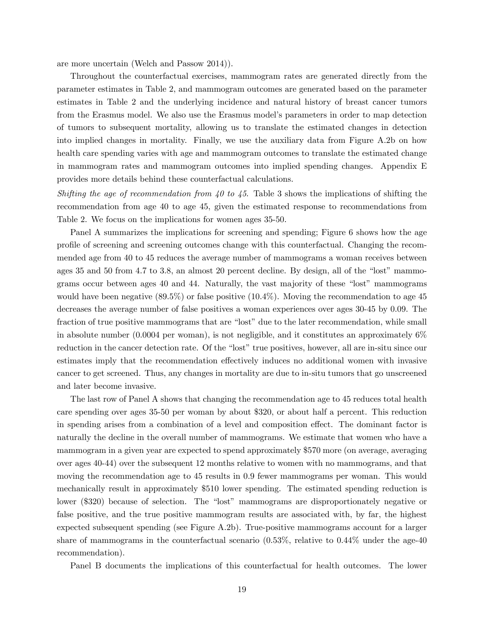are more uncertain (Welch and Passow 2014)).

Throughout the counterfactual exercises, mammogram rates are generated directly from the parameter estimates in Table 2, and mammogram outcomes are generated based on the parameter estimates in Table 2 and the underlying incidence and natural history of breast cancer tumors from the Erasmus model. We also use the Erasmus model's parameters in order to map detection of tumors to subsequent mortality, allowing us to translate the estimated changes in detection into implied changes in mortality. Finally, we use the auxiliary data from Figure A.2b on how health care spending varies with age and mammogram outcomes to translate the estimated change in mammogram rates and mammogram outcomes into implied spending changes. Appendix E provides more details behind these counterfactual calculations.

Shifting the age of recommendation from 40 to 45. Table 3 shows the implications of shifting the recommendation from age 40 to age 45, given the estimated response to recommendations from Table 2. We focus on the implications for women ages 35-50.

Panel A summarizes the implications for screening and spending; Figure 6 shows how the age proÖle of screening and screening outcomes change with this counterfactual. Changing the recommended age from 40 to 45 reduces the average number of mammograms a woman receives between ages 35 and 50 from 4.7 to 3.8, an almost 20 percent decline. By design, all of the "lost" mammograms occur between ages 40 and 44. Naturally, the vast majority of these "lost" mammograms would have been negative  $(89.5\%)$  or false positive  $(10.4\%)$ . Moving the recommendation to age 45 decreases the average number of false positives a woman experiences over ages 30-45 by 0.09. The fraction of true positive mammograms that are "lost" due to the later recommendation, while small in absolute number (0.0004 per woman), is not negligible, and it constitutes an approximately 6% reduction in the cancer detection rate. Of the "lost" true positives, however, all are in-situ since our estimates imply that the recommendation effectively induces no additional women with invasive cancer to get screened. Thus, any changes in mortality are due to in-situ tumors that go unscreened and later become invasive.

The last row of Panel A shows that changing the recommendation age to 45 reduces total health care spending over ages 35-50 per woman by about \$320, or about half a percent. This reduction in spending arises from a combination of a level and composition effect. The dominant factor is naturally the decline in the overall number of mammograms. We estimate that women who have a mammogram in a given year are expected to spend approximately \$570 more (on average, averaging over ages 40-44) over the subsequent 12 months relative to women with no mammograms, and that moving the recommendation age to 45 results in 0.9 fewer mammograms per woman. This would mechanically result in approximately \$510 lower spending. The estimated spending reduction is lower (\$320) because of selection. The "lost" mammograms are disproportionately negative or false positive, and the true positive mammogram results are associated with, by far, the highest expected subsequent spending (see Figure A.2b). True-positive mammograms account for a larger share of mammograms in the counterfactual scenario  $(0.53\%$ , relative to  $0.44\%$  under the age-40 recommendation).

Panel B documents the implications of this counterfactual for health outcomes. The lower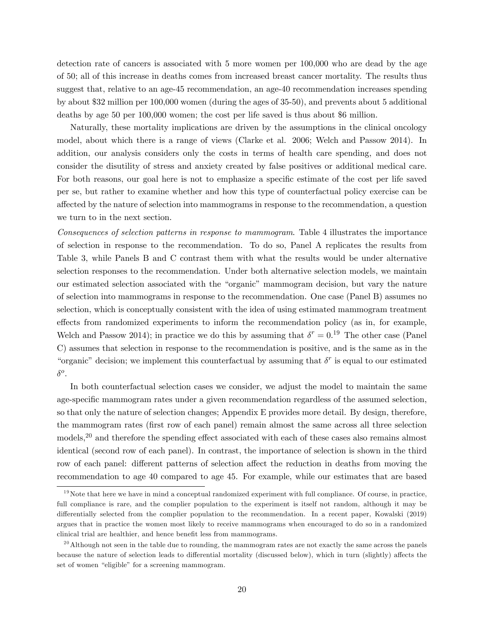detection rate of cancers is associated with 5 more women per 100,000 who are dead by the age of 50; all of this increase in deaths comes from increased breast cancer mortality. The results thus suggest that, relative to an age-45 recommendation, an age-40 recommendation increases spending by about \$32 million per 100,000 women (during the ages of 35-50), and prevents about 5 additional deaths by age 50 per 100,000 women; the cost per life saved is thus about \$6 million.

Naturally, these mortality implications are driven by the assumptions in the clinical oncology model, about which there is a range of views (Clarke et al. 2006; Welch and Passow 2014). In addition, our analysis considers only the costs in terms of health care spending, and does not consider the disutility of stress and anxiety created by false positives or additional medical care. For both reasons, our goal here is not to emphasize a specific estimate of the cost per life saved per se, but rather to examine whether and how this type of counterfactual policy exercise can be affected by the nature of selection into mammograms in response to the recommendation, a question we turn to in the next section.

Consequences of selection patterns in response to mammogram. Table 4 illustrates the importance of selection in response to the recommendation. To do so, Panel A replicates the results from Table 3, while Panels B and C contrast them with what the results would be under alternative selection responses to the recommendation. Under both alternative selection models, we maintain our estimated selection associated with the "organic" mammogram decision, but vary the nature of selection into mammograms in response to the recommendation. One case (Panel B) assumes no selection, which is conceptually consistent with the idea of using estimated mammogram treatment effects from randomized experiments to inform the recommendation policy (as in, for example, Welch and Passow 2014); in practice we do this by assuming that  $\delta^r = 0.19$  The other case (Panel C) assumes that selection in response to the recommendation is positive, and is the same as in the "organic" decision; we implement this counterfactual by assuming that  $\delta^r$  is equal to our estimated  $\delta^o$ .

In both counterfactual selection cases we consider, we adjust the model to maintain the same age-specific mammogram rates under a given recommendation regardless of the assumed selection, so that only the nature of selection changes; Appendix E provides more detail. By design, therefore, the mammogram rates (Örst row of each panel) remain almost the same across all three selection models, $20$  and therefore the spending effect associated with each of these cases also remains almost identical (second row of each panel). In contrast, the importance of selection is shown in the third row of each panel: different patterns of selection affect the reduction in deaths from moving the recommendation to age 40 compared to age 45. For example, while our estimates that are based

 $19$ Note that here we have in mind a conceptual randomized experiment with full compliance. Of course, in practice, full compliance is rare, and the complier population to the experiment is itself not random, although it may be differentially selected from the complier population to the recommendation. In a recent paper, Kowalski (2019) argues that in practice the women most likely to receive mammograms when encouraged to do so in a randomized clinical trial are healthier, and hence benefit less from mammograms.

 $20$ Although not seen in the table due to rounding, the mammogram rates are not exactly the same across the panels because the nature of selection leads to differential mortality (discussed below), which in turn (slightly) affects the set of women "eligible" for a screening mammogram.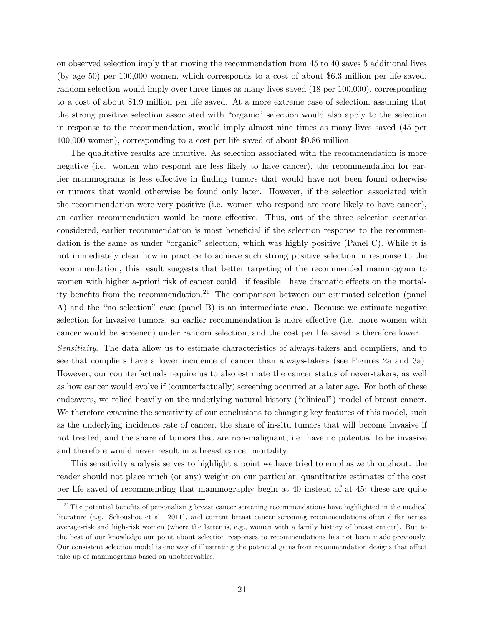on observed selection imply that moving the recommendation from 45 to 40 saves 5 additional lives (by age 50) per 100,000 women, which corresponds to a cost of about \$6.3 million per life saved, random selection would imply over three times as many lives saved (18 per 100,000), corresponding to a cost of about \$1.9 million per life saved. At a more extreme case of selection, assuming that the strong positive selection associated with "organic" selection would also apply to the selection in response to the recommendation, would imply almost nine times as many lives saved (45 per 100,000 women), corresponding to a cost per life saved of about \$0.86 million.

The qualitative results are intuitive. As selection associated with the recommendation is more negative (i.e. women who respond are less likely to have cancer), the recommendation for earlier mammograms is less effective in finding tumors that would have not been found otherwise or tumors that would otherwise be found only later. However, if the selection associated with the recommendation were very positive (i.e. women who respond are more likely to have cancer), an earlier recommendation would be more effective. Thus, out of the three selection scenarios considered, earlier recommendation is most beneficial if the selection response to the recommendation is the same as under "organic" selection, which was highly positive (Panel C). While it is not immediately clear how in practice to achieve such strong positive selection in response to the recommendation, this result suggests that better targeting of the recommended mammogram to women with higher a-priori risk of cancer could—if feasible—have dramatic effects on the mortality benefits from the recommendation.<sup>21</sup> The comparison between our estimated selection (panel A) and the "no selection" case (panel B) is an intermediate case. Because we estimate negative selection for invasive tumors, an earlier recommendation is more effective (i.e. more women with cancer would be screened) under random selection, and the cost per life saved is therefore lower.

Sensitivity. The data allow us to estimate characteristics of always-takers and compliers, and to see that compliers have a lower incidence of cancer than always-takers (see Figures 2a and 3a). However, our counterfactuals require us to also estimate the cancer status of never-takers, as well as how cancer would evolve if (counterfactually) screening occurred at a later age. For both of these endeavors, we relied heavily on the underlying natural history ("clinical") model of breast cancer. We therefore examine the sensitivity of our conclusions to changing key features of this model, such as the underlying incidence rate of cancer, the share of in-situ tumors that will become invasive if not treated, and the share of tumors that are non-malignant, i.e. have no potential to be invasive and therefore would never result in a breast cancer mortality.

This sensitivity analysis serves to highlight a point we have tried to emphasize throughout: the reader should not place much (or any) weight on our particular, quantitative estimates of the cost per life saved of recommending that mammography begin at 40 instead of at 45; these are quite

 $21$ The potential benefits of personalizing breast cancer screening recommendations have highlighted in the medical literature (e.g. Schousboe et al. 2011), and current breast cancer screening recommendations often differ across average-risk and high-risk women (where the latter is, e.g., women with a family history of breast cancer). But to the best of our knowledge our point about selection responses to recommendations has not been made previously. Our consistent selection model is one way of illustrating the potential gains from recommendation designs that affect take-up of mammograms based on unobservables.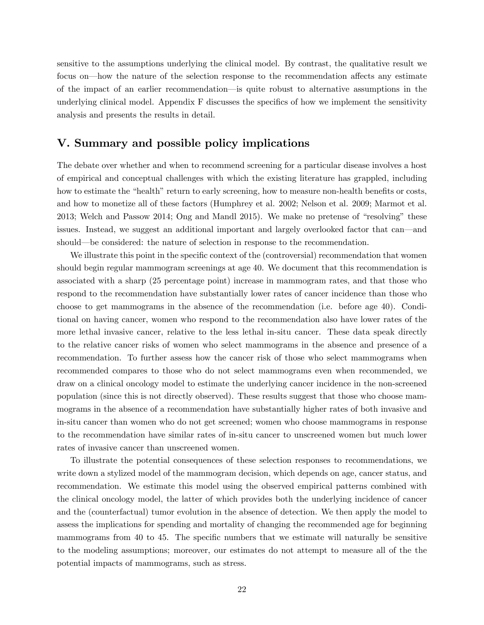sensitive to the assumptions underlying the clinical model. By contrast, the qualitative result we focus on—how the nature of the selection response to the recommendation affects any estimate of the impact of an earlier recommendation—is quite robust to alternative assumptions in the underlying clinical model. Appendix  $F$  discusses the specifics of how we implement the sensitivity analysis and presents the results in detail.

# V. Summary and possible policy implications

The debate over whether and when to recommend screening for a particular disease involves a host of empirical and conceptual challenges with which the existing literature has grappled, including how to estimate the "health" return to early screening, how to measure non-health benefits or costs, and how to monetize all of these factors (Humphrey et al. 2002; Nelson et al. 2009; Marmot et al.  $2013$ ; Welch and Passow  $2014$ ; Ong and Mandl  $2015$ ). We make no pretense of "resolving" these issues. Instead, we suggest an additional important and largely overlooked factor that can—and should—be considered: the nature of selection in response to the recommendation.

We illustrate this point in the specific context of the (controversial) recommendation that women should begin regular mammogram screenings at age 40. We document that this recommendation is associated with a sharp (25 percentage point) increase in mammogram rates, and that those who respond to the recommendation have substantially lower rates of cancer incidence than those who choose to get mammograms in the absence of the recommendation (i.e. before age 40). Conditional on having cancer, women who respond to the recommendation also have lower rates of the more lethal invasive cancer, relative to the less lethal in-situ cancer. These data speak directly to the relative cancer risks of women who select mammograms in the absence and presence of a recommendation. To further assess how the cancer risk of those who select mammograms when recommended compares to those who do not select mammograms even when recommended, we draw on a clinical oncology model to estimate the underlying cancer incidence in the non-screened population (since this is not directly observed). These results suggest that those who choose mammograms in the absence of a recommendation have substantially higher rates of both invasive and in-situ cancer than women who do not get screened; women who choose mammograms in response to the recommendation have similar rates of in-situ cancer to unscreened women but much lower rates of invasive cancer than unscreened women.

To illustrate the potential consequences of these selection responses to recommendations, we write down a stylized model of the mammogram decision, which depends on age, cancer status, and recommendation. We estimate this model using the observed empirical patterns combined with the clinical oncology model, the latter of which provides both the underlying incidence of cancer and the (counterfactual) tumor evolution in the absence of detection. We then apply the model to assess the implications for spending and mortality of changing the recommended age for beginning mammograms from 40 to 45. The specific numbers that we estimate will naturally be sensitive to the modeling assumptions; moreover, our estimates do not attempt to measure all of the the potential impacts of mammograms, such as stress.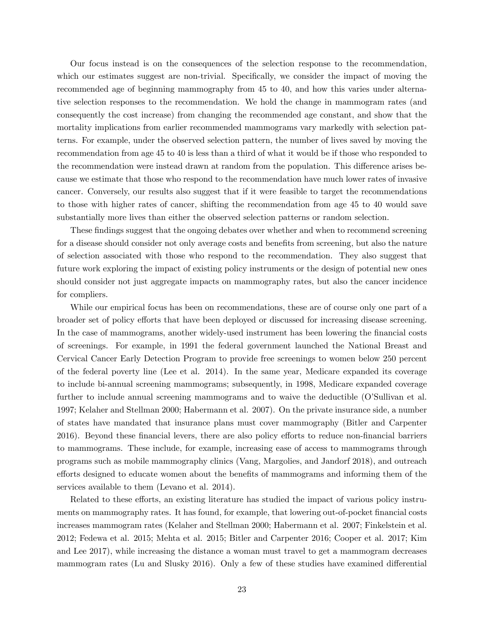Our focus instead is on the consequences of the selection response to the recommendation, which our estimates suggest are non-trivial. Specifically, we consider the impact of moving the recommended age of beginning mammography from 45 to 40, and how this varies under alternative selection responses to the recommendation. We hold the change in mammogram rates (and consequently the cost increase) from changing the recommended age constant, and show that the mortality implications from earlier recommended mammograms vary markedly with selection patterns. For example, under the observed selection pattern, the number of lives saved by moving the recommendation from age 45 to 40 is less than a third of what it would be if those who responded to the recommendation were instead drawn at random from the population. This difference arises because we estimate that those who respond to the recommendation have much lower rates of invasive cancer. Conversely, our results also suggest that if it were feasible to target the recommendations to those with higher rates of cancer, shifting the recommendation from age 45 to 40 would save substantially more lives than either the observed selection patterns or random selection.

These findings suggest that the ongoing debates over whether and when to recommend screening for a disease should consider not only average costs and benefits from screening, but also the nature of selection associated with those who respond to the recommendation. They also suggest that future work exploring the impact of existing policy instruments or the design of potential new ones should consider not just aggregate impacts on mammography rates, but also the cancer incidence for compliers.

While our empirical focus has been on recommendations, these are of course only one part of a broader set of policy efforts that have been deployed or discussed for increasing disease screening. In the case of mammograms, another widely-used instrument has been lowering the financial costs of screenings. For example, in 1991 the federal government launched the National Breast and Cervical Cancer Early Detection Program to provide free screenings to women below 250 percent of the federal poverty line (Lee et al. 2014). In the same year, Medicare expanded its coverage to include bi-annual screening mammograms; subsequently, in 1998, Medicare expanded coverage further to include annual screening mammograms and to waive the deductible (O'Sullivan et al. 1997; Kelaher and Stellman 2000; Habermann et al. 2007). On the private insurance side, a number of states have mandated that insurance plans must cover mammography (Bitler and Carpenter 2016). Beyond these financial levers, there are also policy efforts to reduce non-financial barriers to mammograms. These include, for example, increasing ease of access to mammograms through programs such as mobile mammography clinics (Vang, Margolies, and Jandorf 2018), and outreach efforts designed to educate women about the benefits of mammograms and informing them of the services available to them (Levano et al. 2014).

Related to these efforts, an existing literature has studied the impact of various policy instruments on mammography rates. It has found, for example, that lowering out-of-pocket financial costs increases mammogram rates (Kelaher and Stellman 2000; Habermann et al. 2007; Finkelstein et al. 2012; Fedewa et al. 2015; Mehta et al. 2015; Bitler and Carpenter 2016; Cooper et al. 2017; Kim and Lee 2017), while increasing the distance a woman must travel to get a mammogram decreases mammogram rates (Lu and Slusky 2016). Only a few of these studies have examined differential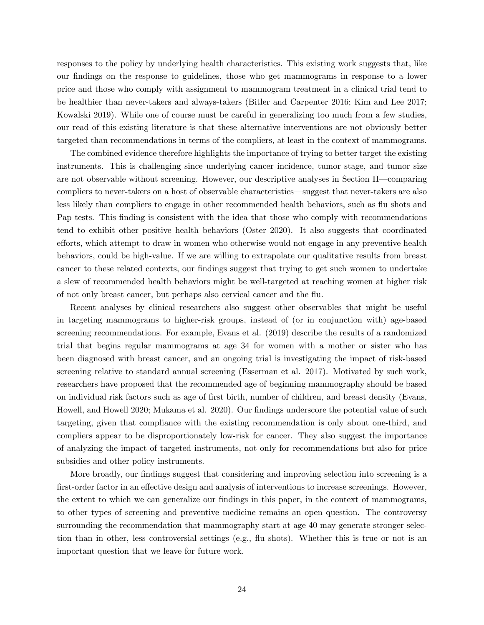responses to the policy by underlying health characteristics. This existing work suggests that, like our Öndings on the response to guidelines, those who get mammograms in response to a lower price and those who comply with assignment to mammogram treatment in a clinical trial tend to be healthier than never-takers and always-takers (Bitler and Carpenter 2016; Kim and Lee 2017; Kowalski 2019). While one of course must be careful in generalizing too much from a few studies, our read of this existing literature is that these alternative interventions are not obviously better targeted than recommendations in terms of the compliers, at least in the context of mammograms.

The combined evidence therefore highlights the importance of trying to better target the existing instruments. This is challenging since underlying cancer incidence, tumor stage, and tumor size are not observable without screening. However, our descriptive analyses in Section II—comparing compliers to never-takers on a host of observable characteristics—suggest that never-takers are also less likely than compliers to engage in other recommended health behaviors, such as flu shots and Pap tests. This finding is consistent with the idea that those who comply with recommendations tend to exhibit other positive health behaviors (Oster 2020). It also suggests that coordinated efforts, which attempt to draw in women who otherwise would not engage in any preventive health behaviors, could be high-value. If we are willing to extrapolate our qualitative results from breast cancer to these related contexts, our findings suggest that trying to get such women to undertake a slew of recommended health behaviors might be well-targeted at reaching women at higher risk of not only breast cancer, but perhaps also cervical cancer and the flu.

Recent analyses by clinical researchers also suggest other observables that might be useful in targeting mammograms to higher-risk groups, instead of (or in conjunction with) age-based screening recommendations. For example, Evans et al. (2019) describe the results of a randomized trial that begins regular mammograms at age 34 for women with a mother or sister who has been diagnosed with breast cancer, and an ongoing trial is investigating the impact of risk-based screening relative to standard annual screening (Esserman et al. 2017). Motivated by such work, researchers have proposed that the recommended age of beginning mammography should be based on individual risk factors such as age of first birth, number of children, and breast density (Evans, Howell, and Howell 2020; Mukama et al. 2020). Our findings underscore the potential value of such targeting, given that compliance with the existing recommendation is only about one-third, and compliers appear to be disproportionately low-risk for cancer. They also suggest the importance of analyzing the impact of targeted instruments, not only for recommendations but also for price subsidies and other policy instruments.

More broadly, our findings suggest that considering and improving selection into screening is a first-order factor in an effective design and analysis of interventions to increase screenings. However, the extent to which we can generalize our findings in this paper, in the context of mammograms, to other types of screening and preventive medicine remains an open question. The controversy surrounding the recommendation that mammography start at age 40 may generate stronger selection than in other, less controversial settings (e.g., áu shots). Whether this is true or not is an important question that we leave for future work.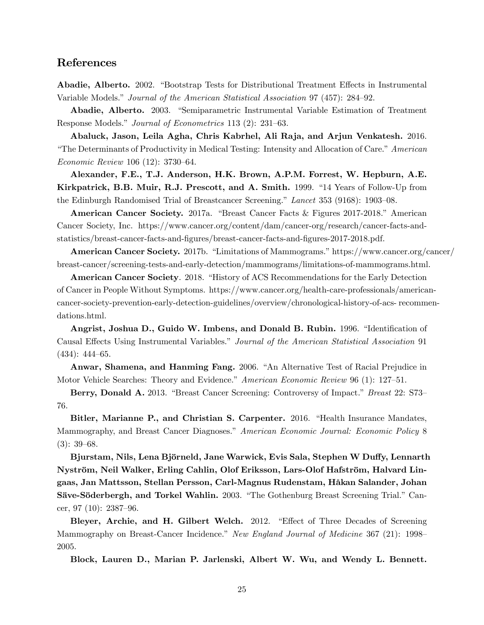# References

Abadie, Alberto. 2002. "Bootstrap Tests for Distributional Treatment Effects in Instrumental Variable Models." Journal of the American Statistical Association 97 (457): 284–92.

Abadie, Alberto. 2003. "Semiparametric Instrumental Variable Estimation of Treatment Response Models." Journal of Econometrics 113 (2): 231–63.

Abaluck, Jason, Leila Agha, Chris Kabrhel, Ali Raja, and Arjun Venkatesh. 2016. <u>i</u>The Determinants of Productivity in Medical Testing: Intensity and Allocation of Care.<sup>n</sup> American Economic Review  $106(12)$ : 3730–64.

Alexander, F.E., T.J. Anderson, H.K. Brown, A.P.M. Forrest, W. Hepburn, A.E. Kirkpatrick, B.B. Muir, R.J. Prescott, and A. Smith. 1999. "14 Years of Follow-Up from the Edinburgh Randomised Trial of Breastcancer Screening." Lancet 353 (9168): 1903–08.

American Cancer Society. 2017a. "Breast Cancer Facts & Figures 2017-2018." American Cancer Society, Inc. https://www.cancer.org/content/dam/cancer-org/research/cancer-facts-andstatistics/breast-cancer-facts-and-Ögures/breast-cancer-facts-and-Ögures-2017-2018.pdf.

American Cancer Society. 2017b. "Limitations of Mammograms." https://www.cancer.org/cancer/ breast-cancer/screening-tests-and-early-detection/mammograms/limitations-of-mammograms.html.

American Cancer Society. 2018. "History of ACS Recommendations for the Early Detection of Cancer in People Without Symptoms. https://www.cancer.org/health-care-professionals/americancancer-society-prevention-early-detection-guidelines/overview/chronological-history-of-acs- recommendations.html.

Angrist, Joshua D., Guido W. Imbens, and Donald B. Rubin. 1996. "Identification of Causal Effects Using Instrumental Variables." Journal of the American Statistical Association 91  $(434): 444–65.$ 

Anwar, Shamena, and Hanming Fang. 2006. "An Alternative Test of Racial Prejudice in Motor Vehicle Searches: Theory and Evidence." American Economic Review 96 (1): 127–51.

Berry, Donald A. 2013. "Breast Cancer Screening: Controversy of Impact." Breast 22: S73– 76.

Bitler, Marianne P., and Christian S. Carpenter. 2016. "Health Insurance Mandates, Mammography, and Breast Cancer Diagnoses." American Economic Journal: Economic Policy 8  $(3): 39-68.$ 

Bjurstam, Nils, Lena Björneld, Jane Warwick, Evis Sala, Stephen W Duffy, Lennarth Nyström, Neil Walker, Erling Cahlin, Olof Eriksson, Lars-Olof Hafström, Halvard Lingaas, Jan Mattsson, Stellan Persson, Carl-Magnus Rudenstam, HÂkan Salander, Johan Säve-Söderbergh, and Torkel Wahlin. 2003. "The Gothenburg Breast Screening Trial." Cancer, 97 (10): 2387-96.

Bleyer, Archie, and H. Gilbert Welch. 2012. "Effect of Three Decades of Screening Mammography on Breast-Cancer Incidence." New England Journal of Medicine 367 (21): 1998 2005.

Block, Lauren D., Marian P. Jarlenski, Albert W. Wu, and Wendy L. Bennett.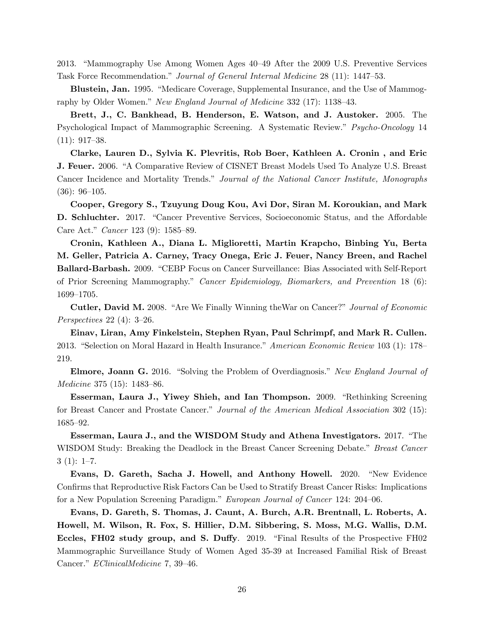2013. "Mammography Use Among Women Ages 40–49 After the 2009 U.S. Preventive Services Task Force Recommendation." Journal of General Internal Medicine 28 (11): 1447–53.

**Blustein, Jan.** 1995. "Medicare Coverage, Supplemental Insurance, and the Use of Mammography by Older Women." New England Journal of Medicine  $332$  (17): 1138–43.

Brett, J., C. Bankhead, B. Henderson, E. Watson, and J. Austoker. 2005. The Psychological Impact of Mammographic Screening. A Systematic Review.<sup>n</sup> Psycho-Oncology 14  $(11): 917-38.$ 

Clarke, Lauren D., Sylvia K. Plevritis, Rob Boer, Kathleen A. Cronin , and Eric **J. Feuer.** 2006. "A Comparative Review of CISNET Breast Models Used To Analyze U.S. Breast Cancer Incidence and Mortality Trends." Journal of the National Cancer Institute, Monographs  $(36): 96-105.$ 

Cooper, Gregory S., Tzuyung Doug Kou, Avi Dor, Siran M. Koroukian, and Mark D. Schluchter. 2017. "Cancer Preventive Services, Socioeconomic Status, and the Affordable Care Act." Cancer 123 (9): 1585–89.

Cronin, Kathleen A., Diana L. Miglioretti, Martin Krapcho, Binbing Yu, Berta M. Geller, Patricia A. Carney, Tracy Onega, Eric J. Feuer, Nancy Breen, and Rachel Ballard-Barbash. 2009. "CEBP Focus on Cancer Surveillance: Bias Associated with Self-Report of Prior Screening Mammography." Cancer Epidemiology, Biomarkers, and Prevention 18 (6): 1699-1705.

Cutler, David M. 2008. "Are We Finally Winning theWar on Cancer?" Journal of Economic *Perspectives* 22 (4):  $3-26$ .

Einav, Liran, Amy Finkelstein, Stephen Ryan, Paul Schrimpf, and Mark R. Cullen. 2013. "Selection on Moral Hazard in Health Insurance." American Economic Review 103 (1): 178 219.

**Elmore, Joann G.** 2016. "Solving the Problem of Overdiagnosis." New England Journal of *Medicine* 375 (15):  $1483-86$ .

**Esserman, Laura J., Yiwey Shieh, and Ian Thompson.** 2009. "Rethinking Screening for Breast Cancer and Prostate Cancer." Journal of the American Medical Association 302 (15): 1685–92.

Esserman, Laura J., and the WISDOM Study and Athena Investigators. 2017. "The WISDOM Study: Breaking the Deadlock in the Breast Cancer Screening Debate." Breast Cancer  $3(1): 1-7.$ 

Evans, D. Gareth, Sacha J. Howell, and Anthony Howell. 2020. "New Evidence Confirms that Reproductive Risk Factors Can be Used to Stratify Breast Cancer Risks: Implications for a New Population Screening Paradigm." European Journal of Cancer 124: 204-06.

Evans, D. Gareth, S. Thomas, J. Caunt, A. Burch, A.R. Brentnall, L. Roberts, A. Howell, M. Wilson, R. Fox, S. Hillier, D.M. Sibbering, S. Moss, M.G. Wallis, D.M. Eccles, FH02 study group, and S. Duffy. 2019. "Final Results of the Prospective FH02 Mammographic Surveillance Study of Women Aged 35-39 at Increased Familial Risk of Breast Cancer." EClinicalMedicine 7, 39-46.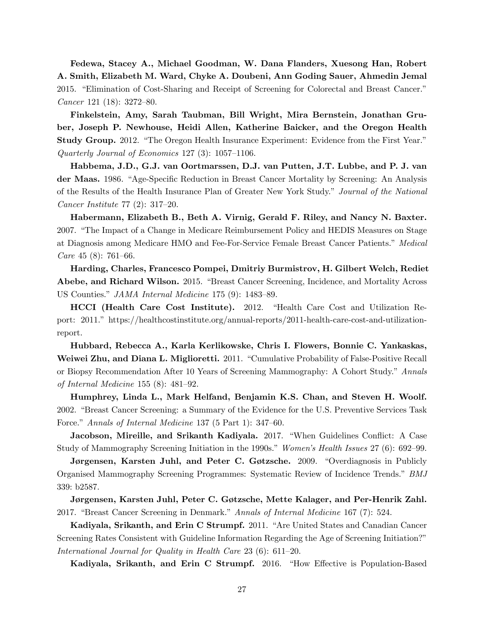Fedewa, Stacey A., Michael Goodman, W. Dana Flanders, Xuesong Han, Robert A. Smith, Elizabeth M. Ward, Chyke A. Doubeni, Ann Goding Sauer, Ahmedin Jemal 2015. "Elimination of Cost-Sharing and Receipt of Screening for Colorectal and Breast Cancer." Cancer 121 (18):  $3272-80$ .

Finkelstein, Amy, Sarah Taubman, Bill Wright, Mira Bernstein, Jonathan Gruber, Joseph P. Newhouse, Heidi Allen, Katherine Baicker, and the Oregon Health **Study Group.** 2012. "The Oregon Health Insurance Experiment: Evidence from the First Year." Quarterly Journal of Economics 127  $(3)$ : 1057–1106.

Habbema, J.D., G.J. van Oortmarssen, D.J. van Putten, J.T. Lubbe, and P. J. van der Maas. 1986. "Age-Specific Reduction in Breast Cancer Mortality by Screening: An Analysis of the Results of the Health Insurance Plan of Greater New York Study." Journal of the National *Cancer Institute* 77  $(2)$ : 317–20.

Habermann, Elizabeth B., Beth A. Virnig, Gerald F. Riley, and Nancy N. Baxter. 2007. "The Impact of a Change in Medicare Reimbursement Policy and HEDIS Measures on Stage at Diagnosis among Medicare HMO and Fee-For-Service Female Breast Cancer Patients.î Medical *Care* 45 (8): 761–66.

Harding, Charles, Francesco Pompei, Dmitriy Burmistrov, H. Gilbert Welch, Rediet Abebe, and Richard Wilson. 2015. "Breast Cancer Screening, Incidence, and Mortality Across US Counties."  $JAMA$  Internal Medicine 175 (9): 1483–89.

HCCI (Health Care Cost Institute). 2012. "Health Care Cost and Utilization Report: 2011." https://healthcostinstitute.org/annual-reports/2011-health-care-cost-and-utilizationreport.

Hubbard, Rebecca A., Karla Kerlikowske, Chris I. Flowers, Bonnie C. Yankaskas, Weiwei Zhu, and Diana L. Miglioretti. 2011. "Cumulative Probability of False-Positive Recall or Biopsy Recommendation After 10 Years of Screening Mammography: A Cohort Study.<sup>n</sup> Annals of Internal Medicine 155  $(8)$ : 481–92.

Humphrey, Linda L., Mark Helfand, Benjamin K.S. Chan, and Steven H. Woolf. 2002. "Breast Cancer Screening: a Summary of the Evidence for the U.S. Preventive Services Task Force." Annals of Internal Medicine 137 (5 Part 1): 347–60.

Jacobson, Mireille, and Srikanth Kadiyala. 2017. "When Guidelines Conflict: A Case Study of Mammography Screening Initiation in the 1990s." Women's Health Issues 27 (6): 692–99.

Jørgensen, Karsten Juhl, and Peter C. Gøtzsche. 2009. "Overdiagnosis in Publicly Organised Mammography Screening Programmes: Systematic Review of Incidence Trends.î BMJ 339: b2587.

Jørgensen, Karsten Juhl, Peter C. Gøtzsche, Mette Kalager, and Per-Henrik Zahl. 2017. "Breast Cancer Screening in Denmark." Annals of Internal Medicine 167 (7): 524.

Kadiyala, Srikanth, and Erin C Strumpf. 2011. "Are United States and Canadian Cancer Screening Rates Consistent with Guideline Information Regarding the Age of Screening Initiation?î International Journal for Quality in Health Care  $23(6)$ : 611-20.

Kadiyala, Srikanth, and Erin C Strumpf. 2016. "How Effective is Population-Based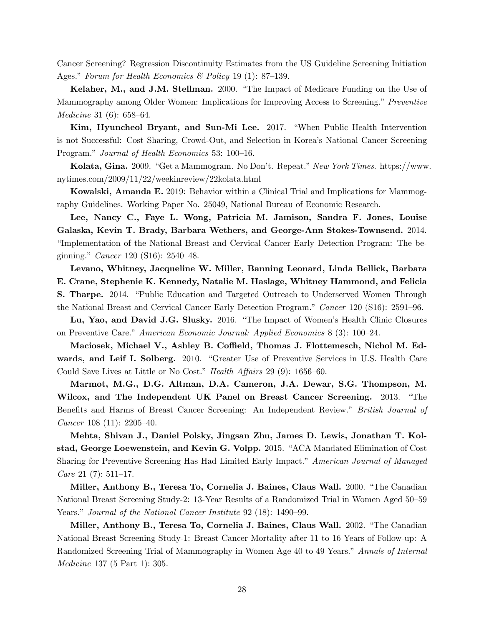Cancer Screening? Regression Discontinuity Estimates from the US Guideline Screening Initiation Ages." Forum for Health Economics & Policy 19 (1): 87–139.

Kelaher, M., and J.M. Stellman. 2000. "The Impact of Medicare Funding on the Use of Mammography among Older Women: Implications for Improving Access to Screening." Preventive *Medicine* 31 $(6)$ : 658–64.

Kim, Hyuncheol Bryant, and Sun-Mi Lee. 2017. "When Public Health Intervention is not Successful: Cost Sharing, Crowd-Out, and Selection in Koreaís National Cancer Screening Program." Journal of Health Economics 53: 100–16.

Kolata, Gina. 2009. "Get a Mammogram. No Don't. Repeat." New York Times. https://www. nytimes.com/2009/11/22/weekinreview/22kolata.html

Kowalski, Amanda E. 2019: Behavior within a Clinical Trial and Implications for Mammography Guidelines. Working Paper No. 25049, National Bureau of Economic Research.

Lee, Nancy C., Faye L. Wong, Patricia M. Jamison, Sandra F. Jones, Louise Galaska, Kevin T. Brady, Barbara Wethers, and George-Ann Stokes-Townsend. 2014. ìImplementation of the National Breast and Cervical Cancer Early Detection Program: The beginning."  $Cancer 120 (S16): 2540-48.$ 

Levano, Whitney, Jacqueline W. Miller, Banning Leonard, Linda Bellick, Barbara E. Crane, Stephenie K. Kennedy, Natalie M. Haslage, Whitney Hammond, and Felicia **S. Tharpe.** 2014. "Public Education and Targeted Outreach to Underserved Women Through the National Breast and Cervical Cancer Early Detection Program." Cancer 120 (S16): 2591-96.

Lu, Yao, and David J.G. Slusky. 2016. "The Impact of Women's Health Clinic Closures on Preventive Care." American Economic Journal: Applied Economics 8 (3):  $100-24$ .

Maciosek, Michael V., Ashley B. Coffield, Thomas J. Flottemesch, Nichol M. Edwards, and Leif I. Solberg. 2010. "Greater Use of Preventive Services in U.S. Health Care Could Save Lives at Little or No Cost." Health Affairs 29 (9):  $1656-60$ .

Marmot, M.G., D.G. Altman, D.A. Cameron, J.A. Dewar, S.G. Thompson, M. Wilcox, and The Independent UK Panel on Breast Cancer Screening. 2013. "The Benefits and Harms of Breast Cancer Screening: An Independent Review." British Journal of Cancer 108 (11):  $2205-40$ .

Mehta, Shivan J., Daniel Polsky, Jingsan Zhu, James D. Lewis, Jonathan T. Kolstad, George Loewenstein, and Kevin G. Volpp. 2015. "ACA Mandated Elimination of Cost Sharing for Preventive Screening Has Had Limited Early Impact." American Journal of Managed *Care* 21 (7):  $511-17$ .

Miller, Anthony B., Teresa To, Cornelia J. Baines, Claus Wall. 2000. "The Canadian National Breast Screening Study-2: 13-Year Results of a Randomized Trial in Women Aged 50–59 Years." Journal of the National Cancer Institute 92 (18): 1490–99.

Miller, Anthony B., Teresa To, Cornelia J. Baines, Claus Wall. 2002. "The Canadian National Breast Screening Study-1: Breast Cancer Mortality after 11 to 16 Years of Follow-up: A Randomized Screening Trial of Mammography in Women Age 40 to 49 Years." Annals of Internal Medicine 137 (5 Part 1): 305.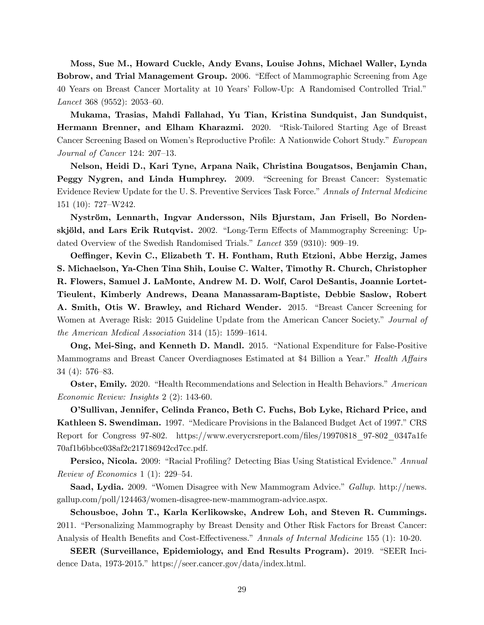Moss, Sue M., Howard Cuckle, Andy Evans, Louise Johns, Michael Waller, Lynda Bobrow, and Trial Management Group. 2006. "Effect of Mammographic Screening from Age 40 Years on Breast Cancer Mortality at 10 Years' Follow-Up: A Randomised Controlled Trial."  $Lancet$  368 (9552): 2053–60.

Mukama, Trasias, Mahdi Fallahad, Yu Tian, Kristina Sundquist, Jan Sundquist, Hermann Brenner, and Elham Kharazmi. 2020. "Risk-Tailored Starting Age of Breast Cancer Screening Based on Women's Reproductive Profile: A Nationwide Cohort Study." European Journal of Cancer 124:  $207-13$ .

Nelson, Heidi D., Kari Tyne, Arpana Naik, Christina Bougatsos, Benjamin Chan, Peggy Nygren, and Linda Humphrey. 2009. "Screening for Breast Cancer: Systematic Evidence Review Update for the U.S. Preventive Services Task Force." Annals of Internal Medicine  $151$  (10): 727–W242.

Nyström, Lennarth, Ingvar Andersson, Nils Bjurstam, Jan Frisell, Bo Nordenskjöld, and Lars Erik Rutqvist. 2002. "Long-Term Effects of Mammography Screening: Updated Overview of the Swedish Randomised Trials." Lancet 359 (9310): 909–19.

Oeffinger, Kevin C., Elizabeth T. H. Fontham, Ruth Etzioni, Abbe Herzig, James S. Michaelson, Ya-Chen Tina Shih, Louise C. Walter, Timothy R. Church, Christopher R. Flowers, Samuel J. LaMonte, Andrew M. D. Wolf, Carol DeSantis, Joannie Lortet-Tieulent, Kimberly Andrews, Deana Manassaram-Baptiste, Debbie Saslow, Robert A. Smith, Otis W. Brawley, and Richard Wender. 2015. "Breast Cancer Screening for Women at Average Risk: 2015 Guideline Update from the American Cancer Society." Journal of the American Medical Association 314 (15): 1599–1614.

Ong, Mei-Sing, and Kenneth D. Mandl. 2015. "National Expenditure for False-Positive Mammograms and Breast Cancer Overdiagnoses Estimated at \$4 Billion a Year." *Health Affairs*  $34(4): 576-83.$ 

**Oster, Emily.** 2020. "Health Recommendations and Selection in Health Behaviors." American Economic Review: Insights 2 (2): 143-60.

O'Sullivan, Jennifer, Celinda Franco, Beth C. Fuchs, Bob Lyke, Richard Price, and Kathleen S. Swendiman. 1997. "Medicare Provisions in the Balanced Budget Act of 1997." CRS Report for Congress 97-802. https://www.everycrsreport.com/files/19970818 97-802 0347a1fe 70af1b6bbce038af2c217186942cd7cc.pdf.

Persico, Nicola. 2009: "Racial Profiling? Detecting Bias Using Statistical Evidence." Annual Review of Economics 1 (1):  $229-54$ .

Saad, Lydia. 2009. "Women Disagree with New Mammogram Advice." Gallup. http://news. gallup.com/poll/124463/women-disagree-new-mammogram-advice.aspx.

Schousboe, John T., Karla Kerlikowske, Andrew Loh, and Steven R. Cummings. 2011. "Personalizing Mammography by Breast Density and Other Risk Factors for Breast Cancer: Analysis of Health Benefits and Cost-Effectiveness." Annals of Internal Medicine 155 (1): 10-20.

SEER (Surveillance, Epidemiology, and End Results Program). 2019. "SEER Incidence Data, 1973-2015." https://seer.cancer.gov/data/index.html.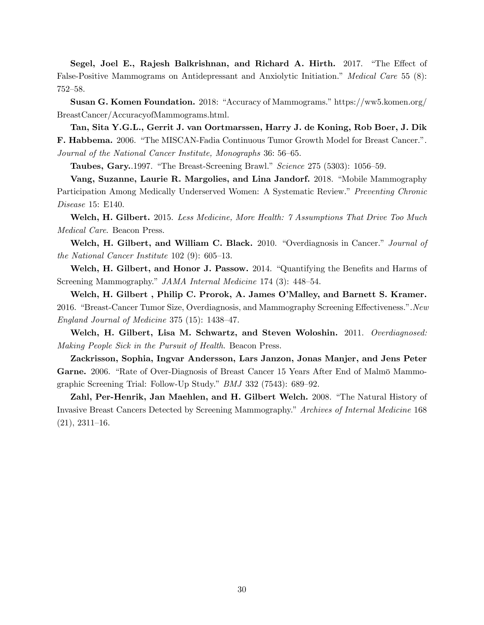Segel, Joel E., Rajesh Balkrishnan, and Richard A. Hirth. 2017. "The Effect of False-Positive Mammograms on Antidepressant and Anxiolytic Initiation." *Medical Care* 55 (8): 752-58.

**Susan G. Komen Foundation.** 2018: "Accuracy of Mammograms." https://ww5.komen.org/ BreastCancer/AccuracyofMammograms.html.

Tan, Sita Y.G.L., Gerrit J. van Oortmarssen, Harry J. de Koning, Rob Boer, J. Dik F. Habbema. 2006. "The MISCAN-Fadia Continuous Tumor Growth Model for Breast Cancer.". Journal of the National Cancer Institute, Monographs 36: 56–65.

Taubes, Gary..1997. "The Breast-Screening Brawl."  $Science$  275 (5303): 1056–59.

Vang, Suzanne, Laurie R. Margolies, and Lina Jandorf. 2018. "Mobile Mammography Participation Among Medically Underserved Women: A Systematic Review." Preventing Chronic Disease 15: E140.

Welch, H. Gilbert. 2015. Less Medicine, More Health:  $\gamma$  Assumptions That Drive Too Much Medical Care. Beacon Press.

Welch, H. Gilbert, and William C. Black. 2010. "Overdiagnosis in Cancer." Journal of the National Cancer Institute  $102$  (9): 605–13.

Welch, H. Gilbert, and Honor J. Passow. 2014. "Quantifying the Benefits and Harms of Screening Mammography." JAMA Internal Medicine 174 (3): 448-54.

Welch, H. Gilbert, Philip C. Prorok, A. James O'Malley, and Barnett S. Kramer. 2016. "Breast-Cancer Tumor Size, Overdiagnosis, and Mammography Screening Effectiveness.". New England Journal of Medicine  $375$  (15): 1438-47.

Welch, H. Gilbert, Lisa M. Schwartz, and Steven Woloshin. 2011. Overdiagnosed: Making People Sick in the Pursuit of Health. Beacon Press.

Zackrisson, Sophia, Ingvar Andersson, Lars Janzon, Jonas Manjer, and Jens Peter Garne. 2006. "Rate of Over-Diagnosis of Breast Cancer 15 Years After End of Malmö Mammographic Screening Trial: Follow-Up Study."  $BMJ$  332 (7543): 689–92.

Zahl, Per-Henrik, Jan Maehlen, and H. Gilbert Welch. 2008. "The Natural History of Invasive Breast Cancers Detected by Screening Mammography.<sup>n</sup> Archives of Internal Medicine 168  $(21), 2311-16.$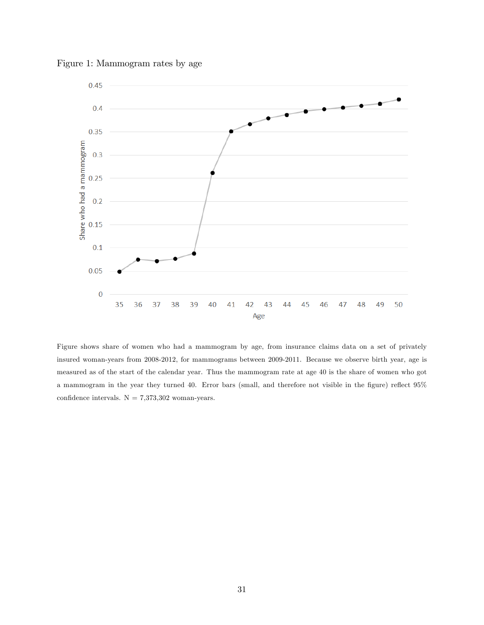

Figure 1: Mammogram rates by age

Figure shows share of women who had a mammogram by age, from insurance claims data on a set of privately insured woman-years from 2008-2012, for mammograms between 2009-2011. Because we observe birth year, age is measured as of the start of the calendar year. Thus the mammogram rate at age 40 is the share of women who got a mammogram in the year they turned 40. Error bars (small, and therefore not visible in the figure) reflect 95% confidence intervals.  $N = 7,373,302$  woman-years.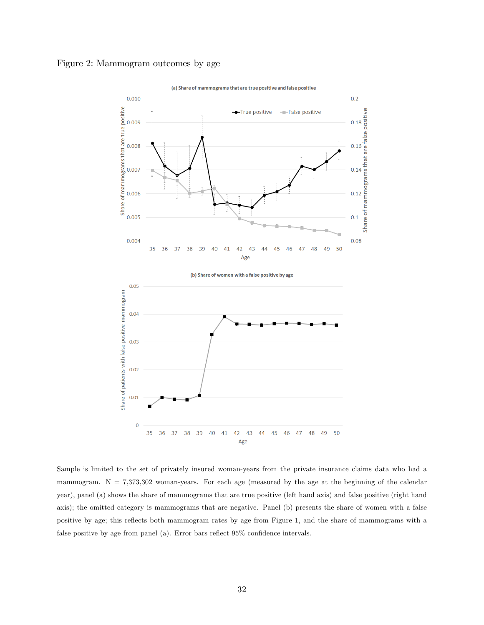### Figure 2: Mammogram outcomes by age



Sample is limited to the set of privately insured woman-years from the private insurance claims data who had a mammogram. N = 7,373,302 woman-years. For each age (measured by the age at the beginning of the calendar year), panel (a) shows the share of mammograms that are true positive (left hand axis) and false positive (right hand axis); the omitted category is mammograms that are negative. Panel (b) presents the share of women with a false positive by age; this reflects both mammogram rates by age from Figure 1, and the share of mammograms with a false positive by age from panel (a). Error bars reflect  $95\%$  confidence intervals.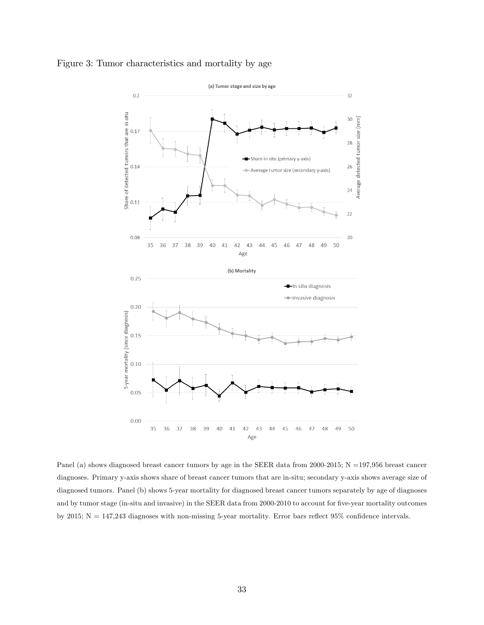

Figure 3: Tumor characteristics and mortality by age

Panel (a) shows diagnosed breast cancer tumors by age in the SEER data from 2000-2015; N =197,956 breast cancer diagnoses. Primary y-axis shows share of breast cancer tumors that are in-situ; secondary y-axis shows average size of diagnosed tumors. Panel (b) shows 5-year mortality for diagnosed breast cancer tumors separately by age of diagnoses and by tumor stage (in-situ and invasive) in the SEER data from 2000-2010 to account for five-year mortality outcomes by 2015;  $N = 147,243$  diagnoses with non-missing 5-year mortality. Error bars reflect 95% confidence intervals.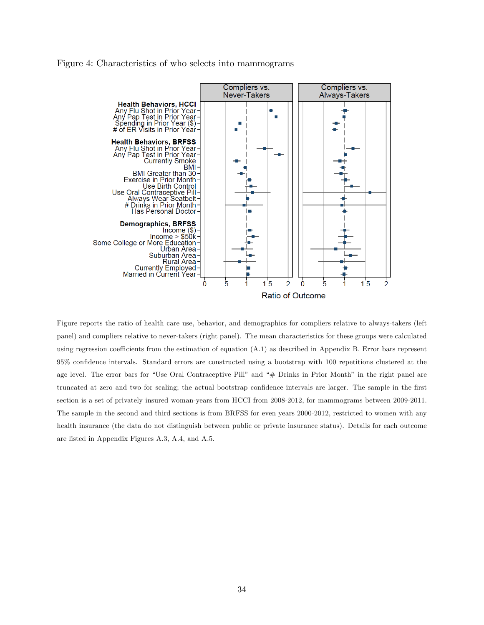### Figure 4: Characteristics of who selects into mammograms



Figure reports the ratio of health care use, behavior, and demographics for compliers relative to always-takers (left panel) and compliers relative to never-takers (right panel). The mean characteristics for these groups were calculated using regression coefficients from the estimation of equation  $(A.1)$  as described in Appendix B. Error bars represent 95% confidence intervals. Standard errors are constructed using a bootstrap with 100 repetitions clustered at the age level. The error bars for "Use Oral Contraceptive Pill" and "# Drinks in Prior Month" in the right panel are truncated at zero and two for scaling; the actual bootstrap confidence intervals are larger. The sample in the first section is a set of privately insured woman-years from HCCI from 2008-2012, for mammograms between 2009-2011. The sample in the second and third sections is from BRFSS for even years 2000-2012, restricted to women with any health insurance (the data do not distinguish between public or private insurance status). Details for each outcome are listed in Appendix Figures A.3, A.4, and A.5.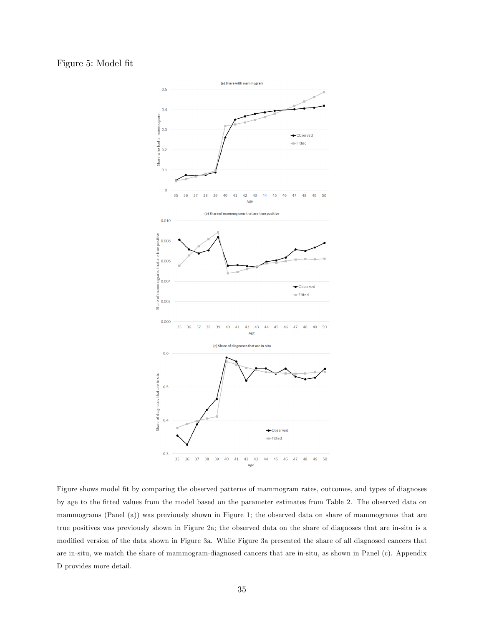## Figure 5: Model fit



Figure shows model Öt by comparing the observed patterns of mammogram rates, outcomes, and types of diagnoses by age to the Ötted values from the model based on the parameter estimates from Table 2. The observed data on mammograms (Panel (a)) was previously shown in Figure 1; the observed data on share of mammograms that are true positives was previously shown in Figure 2a; the observed data on the share of diagnoses that are in-situ is a modified version of the data shown in Figure 3a. While Figure 3a presented the share of all diagnosed cancers that are in-situ, we match the share of mammogram-diagnosed cancers that are in-situ, as shown in Panel (c). Appendix D provides more detail.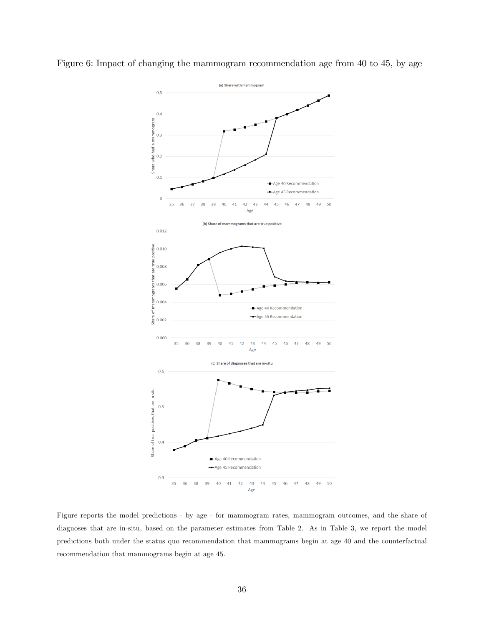

Figure 6: Impact of changing the mammogram recommendation age from 40 to 45, by age

Figure reports the model predictions - by age - for mammogram rates, mammogram outcomes, and the share of diagnoses that are in-situ, based on the parameter estimates from Table 2. As in Table 3, we report the model predictions both under the status quo recommendation that mammograms begin at age 40 and the counterfactual recommendation that mammograms begin at age 45.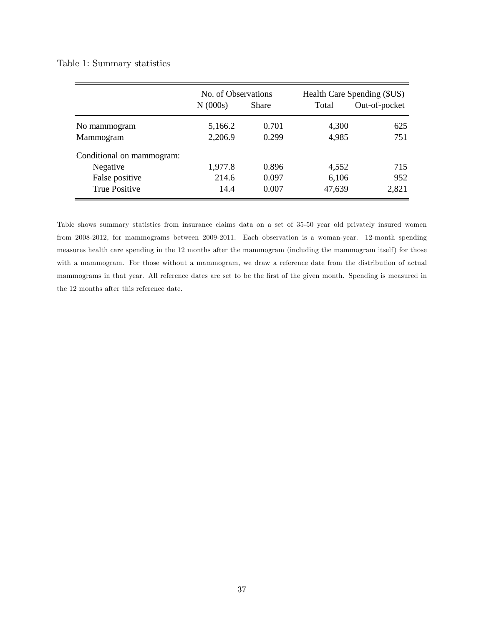## Table 1: Summary statistics

|                           | No. of Observations<br>N(000s) | <b>Share</b> | Total  | Health Care Spending (\$US)<br>Out-of-pocket |
|---------------------------|--------------------------------|--------------|--------|----------------------------------------------|
| No mammogram              | 5,166.2                        | 0.701        | 4,300  | 625                                          |
| Mammogram                 | 2,206.9                        | 0.299        | 4,985  | 751                                          |
| Conditional on mammogram: |                                |              |        |                                              |
| Negative                  | 1,977.8                        | 0.896        | 4,552  | 715                                          |
| False positive            | 214.6                          | 0.097        | 6,106  | 952                                          |
| <b>True Positive</b>      | 14.4                           | 0.007        | 47,639 | 2,821                                        |

Table shows summary statistics from insurance claims data on a set of 35-50 year old privately insured women from 2008-2012, for mammograms between 2009-2011. Each observation is a woman-year. 12-month spending measures health care spending in the 12 months after the mammogram (including the mammogram itself) for those with a mammogram. For those without a mammogram, we draw a reference date from the distribution of actual mammograms in that year. All reference dates are set to be the first of the given month. Spending is measured in the 12 months after this reference date.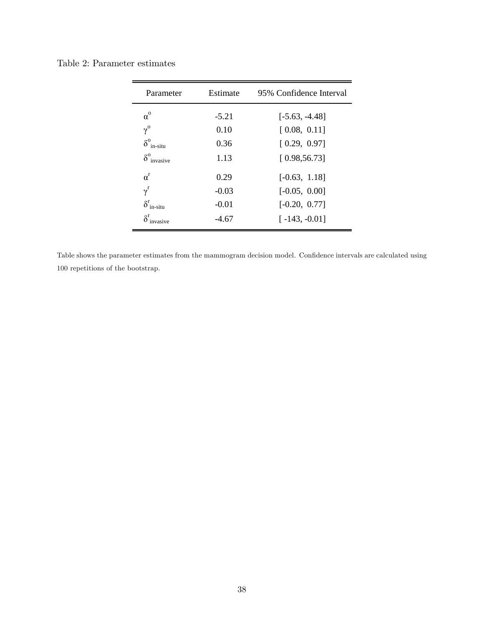| Parameter                           | Estimate | 95% Confidence Interval |
|-------------------------------------|----------|-------------------------|
| $\alpha^{\rm o}$                    | $-5.21$  | $[-5.63, -4.48]$        |
| $\gamma^{\rm o}$                    | 0.10     | [0.08, 0.11]            |
| $\delta^o_{\hbox{\tiny in-situ}}$   | 0.36     | [0.29, 0.97]            |
| $\delta^o_{\hbox{\tiny{invasive}}}$ | 1.13     | [0.98, 56.73]           |
| $\alpha^r$                          | 0.29     | $[-0.63, 1.18]$         |
| $\gamma^{\text{r}}$                 | $-0.03$  | $[-0.05, 0.00]$         |
| $\delta^r_{\textrm{in-situ}}$       | $-0.01$  | $[-0.20, 0.77]$         |
| $\delta^{\rm r}$<br>invasive        | $-4.67$  | $[-143, -0.01]$         |

Table 2: Parameter estimates

Table shows the parameter estimates from the mammogram decision model. Confidence intervals are calculated using 100 repetitions of the bootstrap.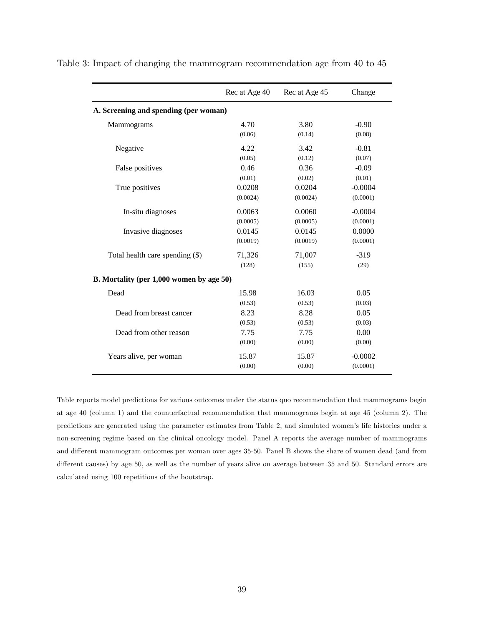|                                          | Rec at Age 40 | Rec at Age 45 | Change    |  |  |
|------------------------------------------|---------------|---------------|-----------|--|--|
| A. Screening and spending (per woman)    |               |               |           |  |  |
| Mammograms                               | 4.70          | 3.80          | $-0.90$   |  |  |
|                                          | (0.06)        | (0.14)        | (0.08)    |  |  |
| Negative                                 | 4.22          | 3.42          | $-0.81$   |  |  |
|                                          | (0.05)        | (0.12)        | (0.07)    |  |  |
| False positives                          | 0.46          | 0.36          | $-0.09$   |  |  |
|                                          | (0.01)        | (0.02)        | (0.01)    |  |  |
| True positives                           | 0.0208        | 0.0204        | $-0.0004$ |  |  |
|                                          | (0.0024)      | (0.0024)      | (0.0001)  |  |  |
| In-situ diagnoses                        | 0.0063        | 0.0060        | $-0.0004$ |  |  |
|                                          | (0.0005)      | (0.0005)      | (0.0001)  |  |  |
| Invasive diagnoses                       | 0.0145        | 0.0145        | 0.0000    |  |  |
|                                          | (0.0019)      | (0.0019)      | (0.0001)  |  |  |
| Total health care spending (\$)          | 71,326        | 71,007        | $-319$    |  |  |
|                                          | (128)         | (155)         | (29)      |  |  |
| B. Mortality (per 1,000 women by age 50) |               |               |           |  |  |
| Dead                                     | 15.98         | 16.03         | 0.05      |  |  |
|                                          | (0.53)        | (0.53)        | (0.03)    |  |  |
| Dead from breast cancer                  | 8.23          | 8.28          | 0.05      |  |  |
|                                          | (0.53)        | (0.53)        | (0.03)    |  |  |
| Dead from other reason                   | 7.75          | 7.75          | 0.00      |  |  |
|                                          | (0.00)        | (0.00)        | (0.00)    |  |  |
| Years alive, per woman                   | 15.87         | 15.87         | $-0.0002$ |  |  |
|                                          | (0.00)        | (0.00)        | (0.0001)  |  |  |

Table 3: Impact of changing the mammogram recommendation age from 40 to 45

Table reports model predictions for various outcomes under the status quo recommendation that mammograms begin at age 40 (column 1) and the counterfactual recommendation that mammograms begin at age 45 (column 2). The predictions are generated using the parameter estimates from Table 2, and simulated womenís life histories under a non-screening regime based on the clinical oncology model. Panel A reports the average number of mammograms and different mammogram outcomes per woman over ages 35-50. Panel B shows the share of women dead (and from different causes) by age 50, as well as the number of years alive on average between 35 and 50. Standard errors are calculated using 100 repetitions of the bootstrap.